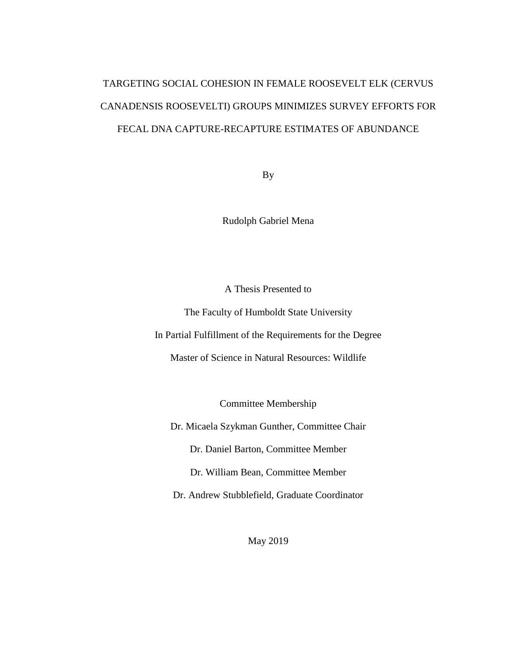# TARGETING SOCIAL COHESION IN FEMALE ROOSEVELT ELK (CERVUS CANADENSIS ROOSEVELTI) GROUPS MINIMIZES SURVEY EFFORTS FOR FECAL DNA CAPTURE-RECAPTURE ESTIMATES OF ABUNDANCE

By

Rudolph Gabriel Mena

A Thesis Presented to

The Faculty of Humboldt State University

In Partial Fulfillment of the Requirements for the Degree

Master of Science in Natural Resources: Wildlife

Committee Membership

Dr. Micaela Szykman Gunther, Committee Chair

Dr. Daniel Barton, Committee Member

Dr. William Bean, Committee Member

Dr. Andrew Stubblefield, Graduate Coordinator

May 2019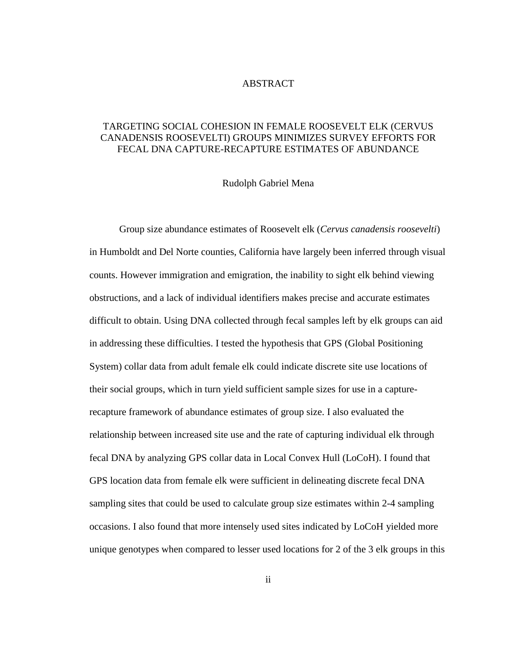# ABSTRACT

# <span id="page-1-0"></span>TARGETING SOCIAL COHESION IN FEMALE ROOSEVELT ELK (CERVUS CANADENSIS ROOSEVELTI) GROUPS MINIMIZES SURVEY EFFORTS FOR FECAL DNA CAPTURE-RECAPTURE ESTIMATES OF ABUNDANCE

### Rudolph Gabriel Mena

Group size abundance estimates of Roosevelt elk (*Cervus canadensis roosevelti*) in Humboldt and Del Norte counties, California have largely been inferred through visual counts. However immigration and emigration, the inability to sight elk behind viewing obstructions, and a lack of individual identifiers makes precise and accurate estimates difficult to obtain. Using DNA collected through fecal samples left by elk groups can aid in addressing these difficulties. I tested the hypothesis that GPS (Global Positioning System) collar data from adult female elk could indicate discrete site use locations of their social groups, which in turn yield sufficient sample sizes for use in a capturerecapture framework of abundance estimates of group size. I also evaluated the relationship between increased site use and the rate of capturing individual elk through fecal DNA by analyzing GPS collar data in Local Convex Hull (LoCoH). I found that GPS location data from female elk were sufficient in delineating discrete fecal DNA sampling sites that could be used to calculate group size estimates within 2-4 sampling occasions. I also found that more intensely used sites indicated by LoCoH yielded more unique genotypes when compared to lesser used locations for 2 of the 3 elk groups in this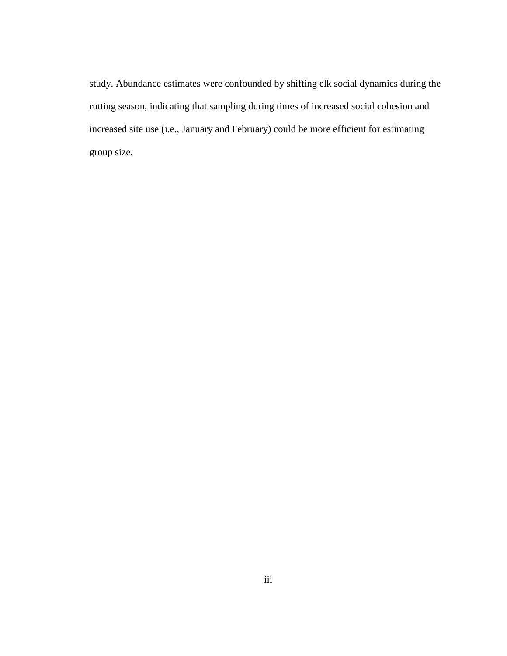study. Abundance estimates were confounded by shifting elk social dynamics during the rutting season, indicating that sampling during times of increased social cohesion and increased site use (i.e., January and February) could be more efficient for estimating group size.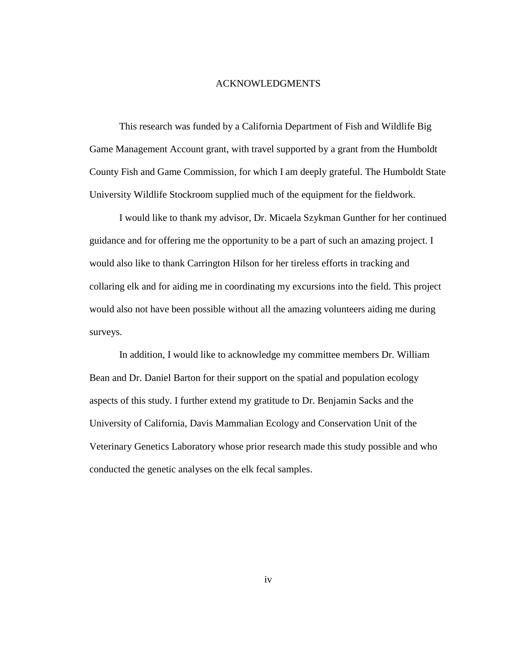#### ACKNOWLEDGMENTS

<span id="page-3-0"></span>This research was funded by a California Department of Fish and Wildlife Big Game Management Account grant, with travel supported by a grant from the Humboldt County Fish and Game Commission, for which I am deeply grateful. The Humboldt State University Wildlife Stockroom supplied much of the equipment for the fieldwork.

I would like to thank my advisor, Dr. Micaela Szykman Gunther for her continued guidance and for offering me the opportunity to be a part of such an amazing project. I would also like to thank Carrington Hilson for her tireless efforts in tracking and collaring elk and for aiding me in coordinating my excursions into the field. This project would also not have been possible without all the amazing volunteers aiding me during surveys.

In addition, I would like to acknowledge my committee members Dr. William Bean and Dr. Daniel Barton for their support on the spatial and population ecology aspects of this study. I further extend my gratitude to Dr. Benjamin Sacks and the University of California, Davis Mammalian Ecology and Conservation Unit of the Veterinary Genetics Laboratory whose prior research made this study possible and who conducted the genetic analyses on the elk fecal samples.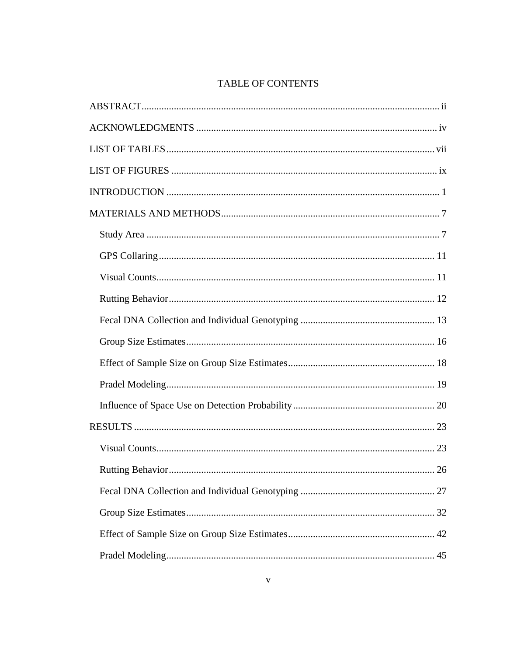# TABLE OF CONTENTS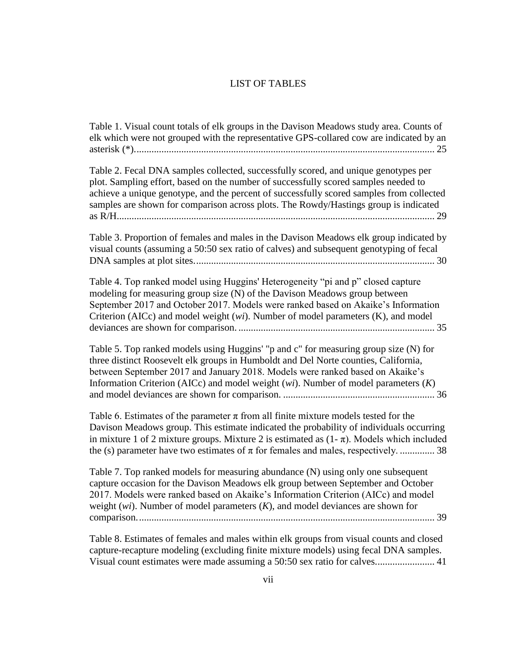# LIST OF TABLES

<span id="page-6-0"></span>[Table 1. Visual count totals of elk groups in the Davison Meadows study area. Counts of](#page-33-0)  [elk which were not grouped with the representative GPS-collared cow are indicated by an](#page-33-0)  [asterisk \(\\*\).........................................................................................................................](#page-33-0) 25

[Table 2. Fecal DNA samples collected, successfully scored, and unique genotypes per](#page-37-0)  [plot. Sampling effort, based on the number of successfully scored samples needed to](#page-37-0)  [achieve a unique genotype, and the percent of successfully scored samples from collected](#page-37-0)  samples are shown for comparison across [plots. The Rowdy/Hastings group is indicated](#page-37-0)  [as R/H................................................................................................................................](#page-37-0) 29

[Table 3. Proportion of females and males in the Davison Meadows elk group indicated by](#page-38-0)  [visual counts \(assuming a 50:50 sex ratio of calves\) and subsequent genotyping of fecal](#page-38-0)  [DNA samples at plot sites.................................................................................................](#page-38-0) 30

Table 4. [Top ranked model using Huggins' Heterogeneity "pi and p" closed capture](#page-43-0)  [modeling for measuring group size \(N\) of the Davison Meadows group between](#page-43-0)  [September 2017 and October 2017. Models were ranked based on Akaike's Information](#page-43-0)  Criterion (AICc) and model weight (*wi*[\). Number of model parameters \(K\), and model](#page-43-0)  deviances are shown for comparison. [...............................................................................](#page-43-0) 35

[Table 5. Top ranked models using Huggins' "p and c" for measuring group size \(N\) for](#page-44-0)  [three distinct Roosevelt elk groups in Humboldt and Del Norte counties, California,](#page-44-0)  [between September 2017 and January 2018. Models were ranked based on Akaike's](#page-44-0)  [Information Criterion \(AICc\) and model weight \(](#page-44-0)*wi*). Number of model parameters (*K*) [and model deviances are shown for comparison.](#page-44-0) ............................................................. 36

Table 6. Estimates of the parameter  $\pi$  from all finite mixture models tested for the [Davison Meadows group. This estimate indicated the probability of individuals occurring](#page-46-0)  in mixture 1 of 2 mixture groups. Mixture 2 is estimated as  $(1 - \pi)$ . Models which included the (s) parameter have two estimates of  $\pi$  for females and males, respectively. ............... 38

[Table 7. Top ranked models for measuring abundance \(N\) using only one subsequent](#page-47-0)  [capture occasion for the Davison Meadows elk group between September and October](#page-47-0)  [2017. Models were ranked based on Akaike's Information Criterion \(AICc\) and model](#page-47-0)  weight (*wi*). Number of model parameters (*K*[\), and model deviances are shown for](#page-47-0)  [comparison........................................................................................................................](#page-47-0) 39

[Table 8. Estimates of females and males within elk groups from visual counts and closed](#page-49-0)  [capture-recapture modeling \(excluding finite mixture models\)](#page-49-0) using fecal DNA samples. [Visual count estimates were made assuming a 50:50 sex ratio for calves........................](#page-49-0) 41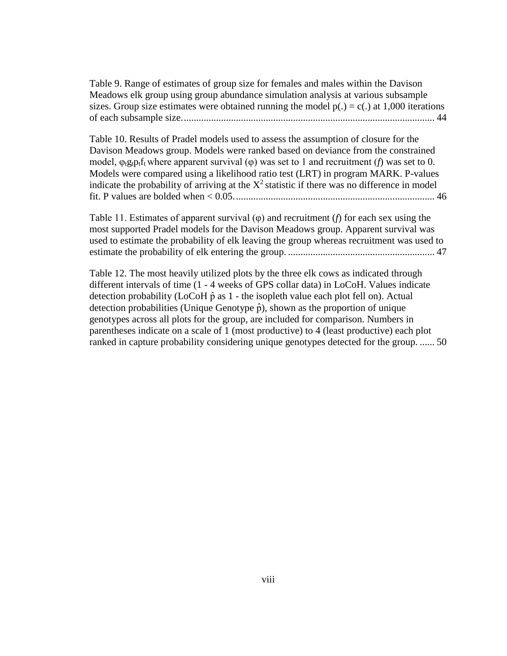[Table 9. Range of estimates of group size for females and males within the Davison](#page-52-0)  [Meadows elk group using group abundance simulation analysis at various subsample](#page-52-0)  sizes. Group size estimates were obtained running the model  $p(.) = c(.)$  at 1,000 iterations [of each subsample size......................................................................................................](#page-52-0) 44

[Table 10. Results of Pradel models used to assess the assumption of closure for the](#page-54-0)  [Davison Meadows group. Models were ranked based on deviance from the constrained](#page-54-0)  model,  $\varphi_t g_t p_t f_t$  where apparent survival ( $\varphi$ ) was set to 1 and recruitment (*f*) was set to 0. [Models were compared using a likelihood ratio test \(LRT\) in program MARK. P-values](#page-54-0)  indicate the probability of arriving at the  $X^2$  statistic if there was no difference in model [fit. P values are bolded when < 0.05.................................................................................](#page-54-0) 46

[Table 11. Estimates of apparent survival \(φ\)](#page-55-0) and recruitment (*f*) for each sex using the [most supported Pradel models for the Davison Meadows group. Apparent survival was](#page-55-0)  [used to estimate the probability of elk leaving the group whereas recruitment was used to](#page-55-0)  [estimate the probability of elk entering](#page-55-0) the group. ........................................................... 47

[Table 12. The most heavily utilized plots by the three elk cows as indicated through](#page-58-0)  different intervals of time (1 - [4 weeks of GPS collar data\) in LoCoH. Values](#page-58-0) indicate detection probability (LoCoH $\hat{p}$  as 1 - the isopleth value each plot fell on). Actual detection probabilities (Unique Genotype  $\hat{p}$ ), shown as the proportion of unique [genotypes across all plots for the group, are included for comparison. Numbers in](#page-58-0) [parentheses indicate on a scale of 1 \(most productive\) to 4 \(least productive\) each plot](#page-58-0)  [ranked in capture probability considering unique genotypes detected for the group.](#page-58-0) ...... 50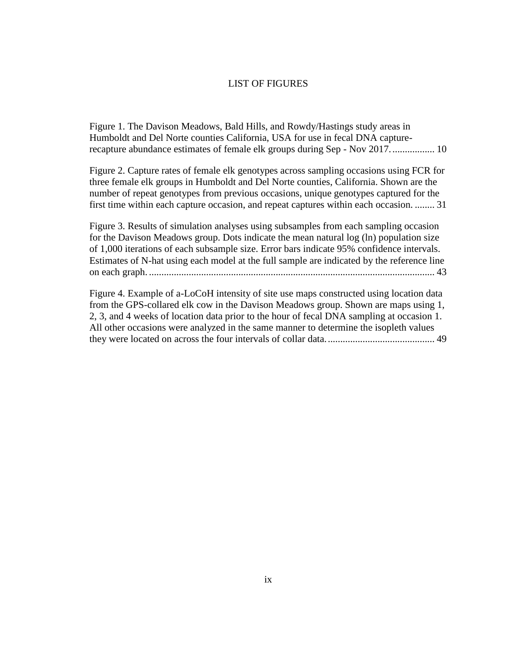#### LIST OF FIGURES

<span id="page-8-0"></span>[Figure 1. The Davison Meadows, Bald Hills, and Rowdy/Hastings study areas in](#page-18-0)  [Humboldt and Del Norte counties California, USA for use in fecal DNA capture](#page-18-0)[recapture abundance estimates of female elk groups during Sep -](#page-18-0) Nov 2017.................. 10

[Figure 2. Capture rates of female elk genotypes across sampling occasions using FCR for](#page-39-0)  [three female elk groups in Humboldt and Del Norte counties, California. Shown are the](#page-39-0)  [number of repeat genotypes from previous occasions, unique genotypes captured for the](#page-39-0)  [first time within each capture occasion, and repeat captures within each](#page-39-0) occasion. ........ 31

[Figure 3. Results of simulation analyses using subsamples from each sampling occasion](#page-51-0)  [for the Davison Meadows group. Dots indicate the mean natural log \(ln\) population size](#page-51-0)  [of 1,000 iterations of each subsample size. Error bars indicate 95% confidence intervals.](#page-51-0)  [Estimates of N-hat using each model at the full sample are indicated by the reference line](#page-51-0)  on each graph. [...................................................................................................................](#page-51-0) 43

[Figure 4. Example of a-LoCoH intensity of site use maps constructed using location data](#page-57-0)  [from the GPS-collared elk cow in the Davison Meadows group. Shown are maps using 1,](#page-57-0)  [2, 3, and 4 weeks of location data prior to the hour of fecal DNA sampling at occasion 1.](#page-57-0)  [All other occasions were analyzed in the same manner to determine the isopleth values](#page-57-0)  [they were located on across the four intervals of collar data............................................](#page-57-0) 49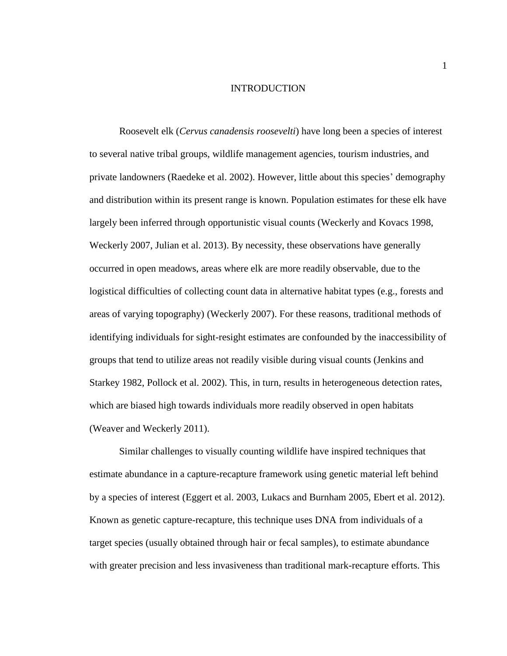### INTRODUCTION

<span id="page-9-0"></span>Roosevelt elk (*Cervus canadensis roosevelti*) have long been a species of interest to several native tribal groups, wildlife management agencies, tourism industries, and private landowners (Raedeke et al. 2002). However, little about this species' demography and distribution within its present range is known. Population estimates for these elk have largely been inferred through opportunistic visual counts (Weckerly and Kovacs 1998, Weckerly 2007, Julian et al. 2013). By necessity, these observations have generally occurred in open meadows, areas where elk are more readily observable, due to the logistical difficulties of collecting count data in alternative habitat types (e.g., forests and areas of varying topography) (Weckerly 2007). For these reasons, traditional methods of identifying individuals for sight-resight estimates are confounded by the inaccessibility of groups that tend to utilize areas not readily visible during visual counts (Jenkins and Starkey 1982, Pollock et al. 2002). This, in turn, results in heterogeneous detection rates, which are biased high towards individuals more readily observed in open habitats (Weaver and Weckerly 2011).

Similar challenges to visually counting wildlife have inspired techniques that estimate abundance in a capture-recapture framework using genetic material left behind by a species of interest (Eggert et al. 2003, Lukacs and Burnham 2005, Ebert et al. 2012). Known as genetic capture-recapture, this technique uses DNA from individuals of a target species (usually obtained through hair or fecal samples), to estimate abundance with greater precision and less invasiveness than traditional mark-recapture efforts. This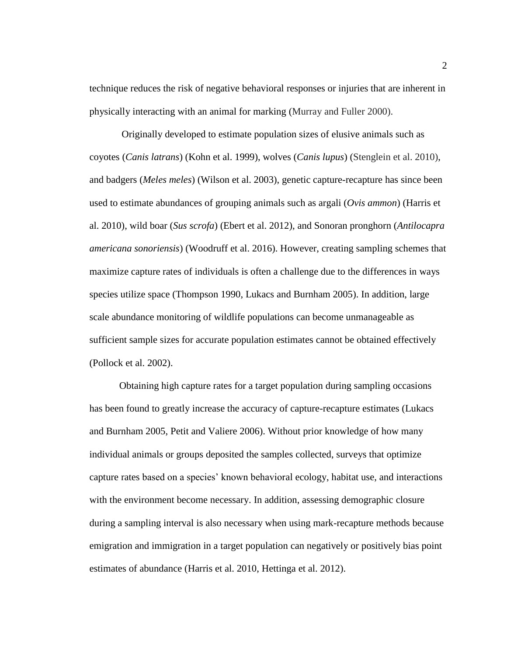technique reduces the risk of negative behavioral responses or injuries that are inherent in physically interacting with an animal for marking (Murray and Fuller 2000).

Originally developed to estimate population sizes of elusive animals such as coyotes (*Canis latrans*) (Kohn et al. 1999), wolves (*Canis lupus*) (Stenglein et al. 2010), and badgers (*Meles meles*) (Wilson et al. 2003), genetic capture-recapture has since been used to estimate abundances of grouping animals such as argali (*Ovis ammon*) (Harris et al. 2010), wild boar (*Sus scrofa*) (Ebert et al. 2012), and Sonoran pronghorn (*Antilocapra americana sonoriensis*) (Woodruff et al. 2016). However, creating sampling schemes that maximize capture rates of individuals is often a challenge due to the differences in ways species utilize space (Thompson 1990, Lukacs and Burnham 2005). In addition, large scale abundance monitoring of wildlife populations can become unmanageable as sufficient sample sizes for accurate population estimates cannot be obtained effectively (Pollock et al. 2002).

Obtaining high capture rates for a target population during sampling occasions has been found to greatly increase the accuracy of capture-recapture estimates (Lukacs and Burnham 2005, Petit and Valiere 2006). Without prior knowledge of how many individual animals or groups deposited the samples collected, surveys that optimize capture rates based on a species' known behavioral ecology, habitat use, and interactions with the environment become necessary. In addition, assessing demographic closure during a sampling interval is also necessary when using mark-recapture methods because emigration and immigration in a target population can negatively or positively bias point estimates of abundance (Harris et al. 2010, Hettinga et al. 2012).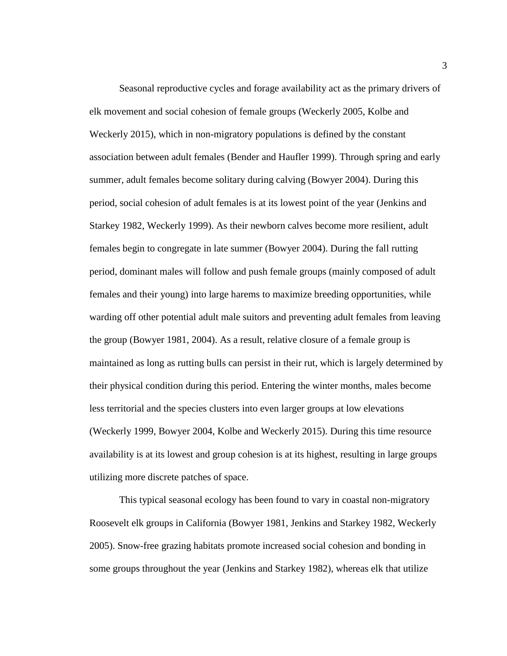Seasonal reproductive cycles and forage availability act as the primary drivers of elk movement and social cohesion of female groups (Weckerly 2005, Kolbe and Weckerly 2015), which in non-migratory populations is defined by the constant association between adult females (Bender and Haufler 1999). Through spring and early summer, adult females become solitary during calving (Bowyer 2004). During this period, social cohesion of adult females is at its lowest point of the year (Jenkins and Starkey 1982, Weckerly 1999). As their newborn calves become more resilient, adult females begin to congregate in late summer (Bowyer 2004). During the fall rutting period, dominant males will follow and push female groups (mainly composed of adult females and their young) into large harems to maximize breeding opportunities, while warding off other potential adult male suitors and preventing adult females from leaving the group (Bowyer 1981, 2004). As a result, relative closure of a female group is maintained as long as rutting bulls can persist in their rut, which is largely determined by their physical condition during this period. Entering the winter months, males become less territorial and the species clusters into even larger groups at low elevations (Weckerly 1999, Bowyer 2004, Kolbe and Weckerly 2015). During this time resource availability is at its lowest and group cohesion is at its highest, resulting in large groups utilizing more discrete patches of space.

This typical seasonal ecology has been found to vary in coastal non-migratory Roosevelt elk groups in California (Bowyer 1981, Jenkins and Starkey 1982, Weckerly 2005). Snow-free grazing habitats promote increased social cohesion and bonding in some groups throughout the year (Jenkins and Starkey 1982), whereas elk that utilize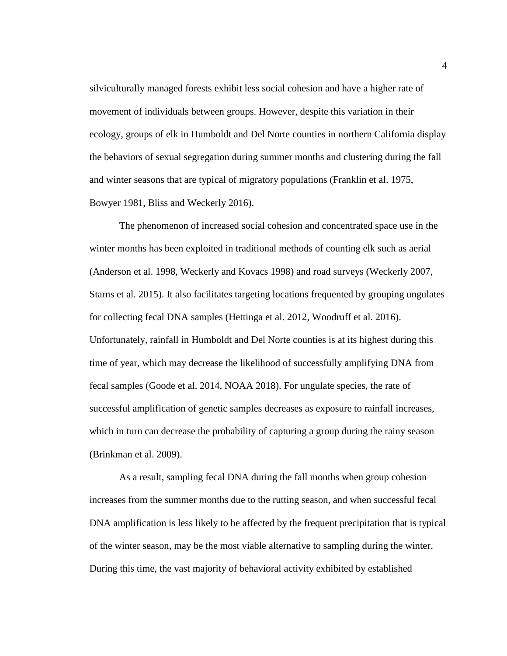silviculturally managed forests exhibit less social cohesion and have a higher rate of movement of individuals between groups. However, despite this variation in their ecology, groups of elk in Humboldt and Del Norte counties in northern California display the behaviors of sexual segregation during summer months and clustering during the fall and winter seasons that are typical of migratory populations (Franklin et al. 1975, Bowyer 1981, Bliss and Weckerly 2016).

The phenomenon of increased social cohesion and concentrated space use in the winter months has been exploited in traditional methods of counting elk such as aerial (Anderson et al. 1998, Weckerly and Kovacs 1998) and road surveys (Weckerly 2007, Starns et al. 2015). It also facilitates targeting locations frequented by grouping ungulates for collecting fecal DNA samples (Hettinga et al. 2012, Woodruff et al. 2016). Unfortunately, rainfall in Humboldt and Del Norte counties is at its highest during this time of year, which may decrease the likelihood of successfully amplifying DNA from fecal samples (Goode et al. 2014, NOAA 2018). For ungulate species, the rate of successful amplification of genetic samples decreases as exposure to rainfall increases, which in turn can decrease the probability of capturing a group during the rainy season (Brinkman et al. 2009).

As a result, sampling fecal DNA during the fall months when group cohesion increases from the summer months due to the rutting season, and when successful fecal DNA amplification is less likely to be affected by the frequent precipitation that is typical of the winter season, may be the most viable alternative to sampling during the winter. During this time, the vast majority of behavioral activity exhibited by established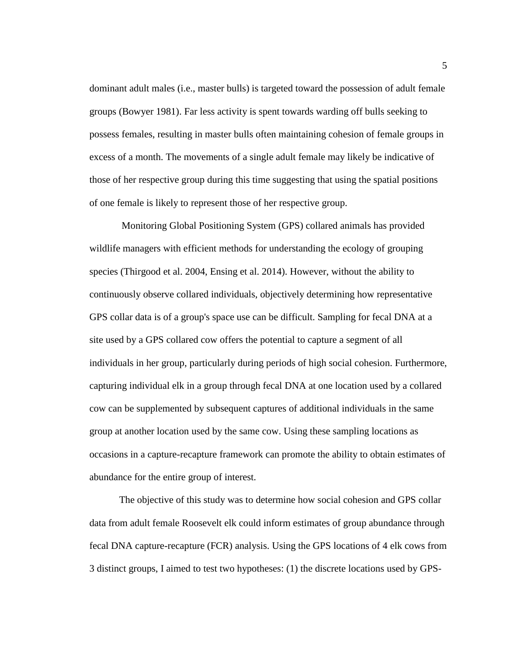dominant adult males (i.e., master bulls) is targeted toward the possession of adult female groups (Bowyer 1981). Far less activity is spent towards warding off bulls seeking to possess females, resulting in master bulls often maintaining cohesion of female groups in excess of a month. The movements of a single adult female may likely be indicative of those of her respective group during this time suggesting that using the spatial positions of one female is likely to represent those of her respective group.

Monitoring Global Positioning System (GPS) collared animals has provided wildlife managers with efficient methods for understanding the ecology of grouping species (Thirgood et al. 2004, Ensing et al. 2014). However, without the ability to continuously observe collared individuals, objectively determining how representative GPS collar data is of a group's space use can be difficult. Sampling for fecal DNA at a site used by a GPS collared cow offers the potential to capture a segment of all individuals in her group, particularly during periods of high social cohesion. Furthermore, capturing individual elk in a group through fecal DNA at one location used by a collared cow can be supplemented by subsequent captures of additional individuals in the same group at another location used by the same cow. Using these sampling locations as occasions in a capture-recapture framework can promote the ability to obtain estimates of abundance for the entire group of interest.

The objective of this study was to determine how social cohesion and GPS collar data from adult female Roosevelt elk could inform estimates of group abundance through fecal DNA capture-recapture (FCR) analysis. Using the GPS locations of 4 elk cows from 3 distinct groups, I aimed to test two hypotheses: (1) the discrete locations used by GPS-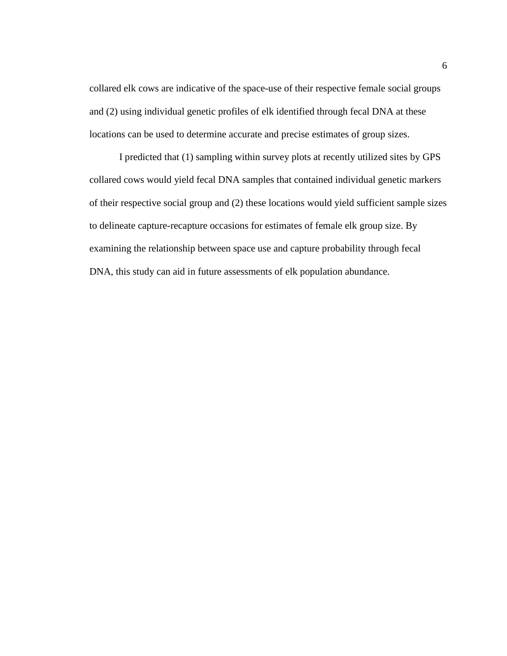collared elk cows are indicative of the space-use of their respective female social groups and (2) using individual genetic profiles of elk identified through fecal DNA at these locations can be used to determine accurate and precise estimates of group sizes.

I predicted that (1) sampling within survey plots at recently utilized sites by GPS collared cows would yield fecal DNA samples that contained individual genetic markers of their respective social group and (2) these locations would yield sufficient sample sizes to delineate capture-recapture occasions for estimates of female elk group size. By examining the relationship between space use and capture probability through fecal DNA, this study can aid in future assessments of elk population abundance.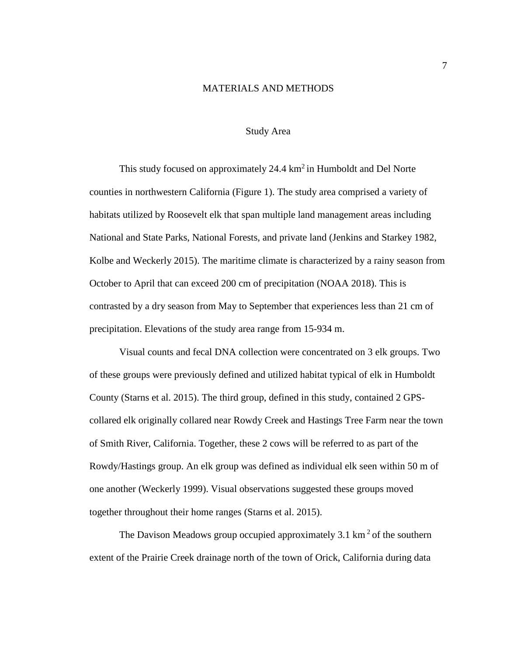# MATERIALS AND METHODS

# Study Area

<span id="page-15-1"></span><span id="page-15-0"></span>This study focused on approximately 24.4  $km^2$  in Humboldt and Del Norte counties in northwestern California (Figure 1). The study area comprised a variety of habitats utilized by Roosevelt elk that span multiple land management areas including National and State Parks, National Forests, and private land (Jenkins and Starkey 1982, Kolbe and Weckerly 2015). The maritime climate is characterized by a rainy season from October to April that can exceed 200 cm of precipitation (NOAA 2018). This is contrasted by a dry season from May to September that experiences less than 21 cm of precipitation. Elevations of the study area range from 15-934 m.

Visual counts and fecal DNA collection were concentrated on 3 elk groups. Two of these groups were previously defined and utilized habitat typical of elk in Humboldt County (Starns et al. 2015). The third group, defined in this study, contained 2 GPScollared elk originally collared near Rowdy Creek and Hastings Tree Farm near the town of Smith River, California. Together, these 2 cows will be referred to as part of the Rowdy/Hastings group. An elk group was defined as individual elk seen within 50 m of one another (Weckerly 1999). Visual observations suggested these groups moved together throughout their home ranges (Starns et al. 2015).

The Davison Meadows group occupied approximately  $3.1 \text{ km}^2$  of the southern extent of the Prairie Creek drainage north of the town of Orick, California during data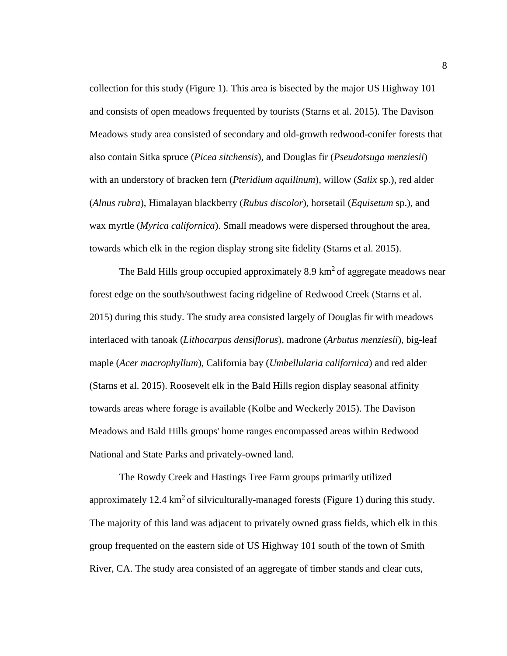collection for this study (Figure 1). This area is bisected by the major US Highway 101 and consists of open meadows frequented by tourists (Starns et al. 2015). The Davison Meadows study area consisted of secondary and old-growth redwood-conifer forests that also contain Sitka spruce (*Picea sitchensis*), and Douglas fir (*Pseudotsuga menziesii*) with an understory of bracken fern (*Pteridium aquilinum*), willow (*Salix* sp.), red alder (*Alnus rubra*), Himalayan blackberry (*Rubus discolor*), horsetail (*Equisetum* sp.), and wax myrtle (*Myrica californica*). Small meadows were dispersed throughout the area, towards which elk in the region display strong site fidelity (Starns et al. 2015).

The Bald Hills group occupied approximately 8.9  $km^2$  of aggregate meadows near forest edge on the south/southwest facing ridgeline of Redwood Creek (Starns et al. 2015) during this study. The study area consisted largely of Douglas fir with meadows interlaced with tanoak (*Lithocarpus densiflorus*), madrone (*Arbutus menziesii*), big-leaf maple (*Acer macrophyllum*), California bay (*Umbellularia californica*) and red alder (Starns et al. 2015). Roosevelt elk in the Bald Hills region display seasonal affinity towards areas where forage is available (Kolbe and Weckerly 2015). The Davison Meadows and Bald Hills groups' home ranges encompassed areas within Redwood National and State Parks and privately-owned land.

The Rowdy Creek and Hastings Tree Farm groups primarily utilized approximately 12.4  $\text{km}^2$  of silviculturally-managed forests (Figure 1) during this study. The majority of this land was adjacent to privately owned grass fields, which elk in this group frequented on the eastern side of US Highway 101 south of the town of Smith River, CA. The study area consisted of an aggregate of timber stands and clear cuts,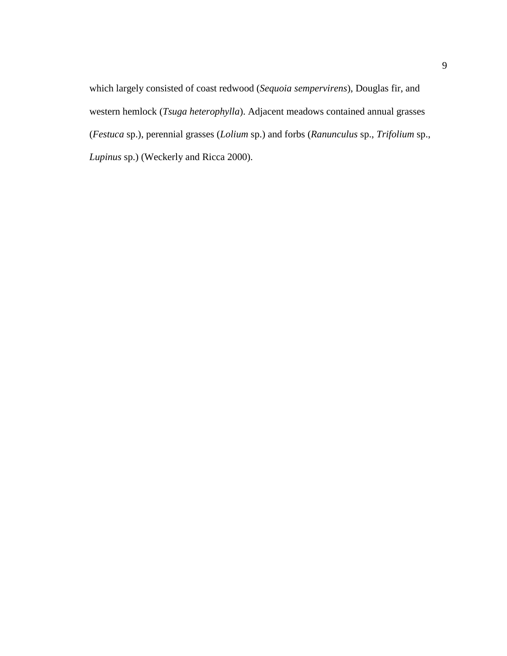which largely consisted of coast redwood (*Sequoia sempervirens*), Douglas fir, and western hemlock (*Tsuga heterophylla*). Adjacent meadows contained annual grasses (*Festuca* sp.), perennial grasses (*Lolium* sp.) and forbs (*Ranunculus* sp., *Trifolium* sp., *Lupinus* sp.) (Weckerly and Ricca 2000).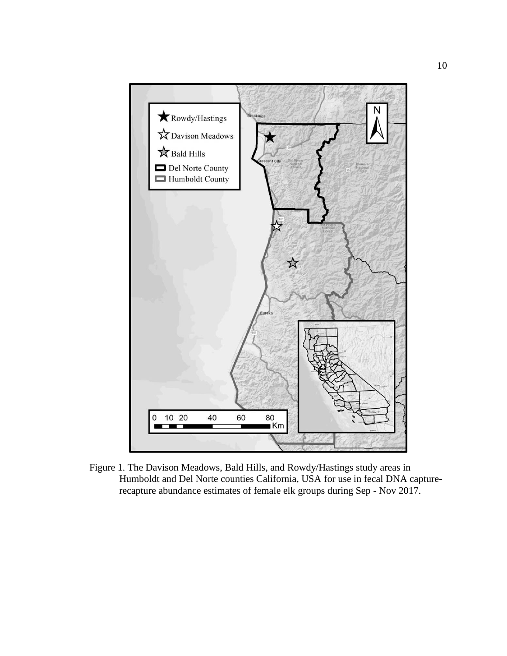

<span id="page-18-0"></span>Figure 1. The Davison Meadows, Bald Hills, and Rowdy/Hastings study areas in Humboldt and Del Norte counties California, USA for use in fecal DNA capturerecapture abundance estimates of female elk groups during Sep - Nov 2017.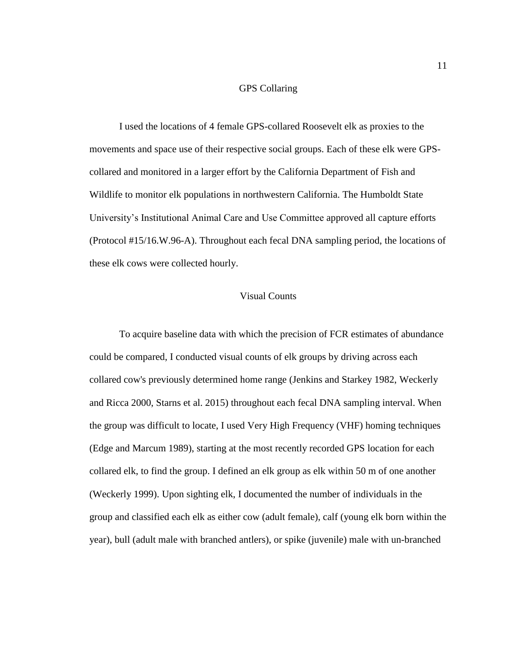# GPS Collaring

<span id="page-19-0"></span>I used the locations of 4 female GPS-collared Roosevelt elk as proxies to the movements and space use of their respective social groups. Each of these elk were GPScollared and monitored in a larger effort by the California Department of Fish and Wildlife to monitor elk populations in northwestern California. The Humboldt State University's Institutional Animal Care and Use Committee approved all capture efforts (Protocol #15/16.W.96-A). Throughout each fecal DNA sampling period, the locations of these elk cows were collected hourly.

# Visual Counts

<span id="page-19-1"></span>To acquire baseline data with which the precision of FCR estimates of abundance could be compared, I conducted visual counts of elk groups by driving across each collared cow's previously determined home range (Jenkins and Starkey 1982, Weckerly and Ricca 2000, Starns et al. 2015) throughout each fecal DNA sampling interval. When the group was difficult to locate, I used Very High Frequency (VHF) homing techniques (Edge and Marcum 1989), starting at the most recently recorded GPS location for each collared elk, to find the group. I defined an elk group as elk within 50 m of one another (Weckerly 1999). Upon sighting elk, I documented the number of individuals in the group and classified each elk as either cow (adult female), calf (young elk born within the year), bull (adult male with branched antlers), or spike (juvenile) male with un-branched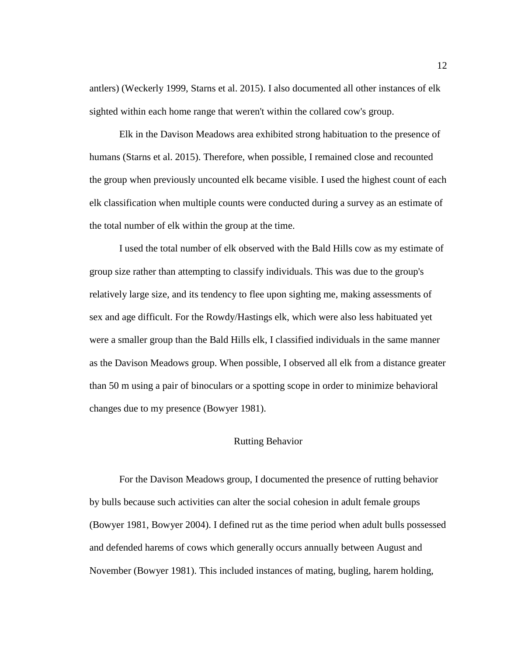antlers) (Weckerly 1999, Starns et al. 2015). I also documented all other instances of elk sighted within each home range that weren't within the collared cow's group.

Elk in the Davison Meadows area exhibited strong habituation to the presence of humans (Starns et al. 2015). Therefore, when possible, I remained close and recounted the group when previously uncounted elk became visible. I used the highest count of each elk classification when multiple counts were conducted during a survey as an estimate of the total number of elk within the group at the time.

I used the total number of elk observed with the Bald Hills cow as my estimate of group size rather than attempting to classify individuals. This was due to the group's relatively large size, and its tendency to flee upon sighting me, making assessments of sex and age difficult. For the Rowdy/Hastings elk, which were also less habituated yet were a smaller group than the Bald Hills elk, I classified individuals in the same manner as the Davison Meadows group. When possible, I observed all elk from a distance greater than 50 m using a pair of binoculars or a spotting scope in order to minimize behavioral changes due to my presence (Bowyer 1981).

# Rutting Behavior

<span id="page-20-0"></span>For the Davison Meadows group, I documented the presence of rutting behavior by bulls because such activities can alter the social cohesion in adult female groups (Bowyer 1981, Bowyer 2004). I defined rut as the time period when adult bulls possessed and defended harems of cows which generally occurs annually between August and November (Bowyer 1981). This included instances of mating, bugling, harem holding,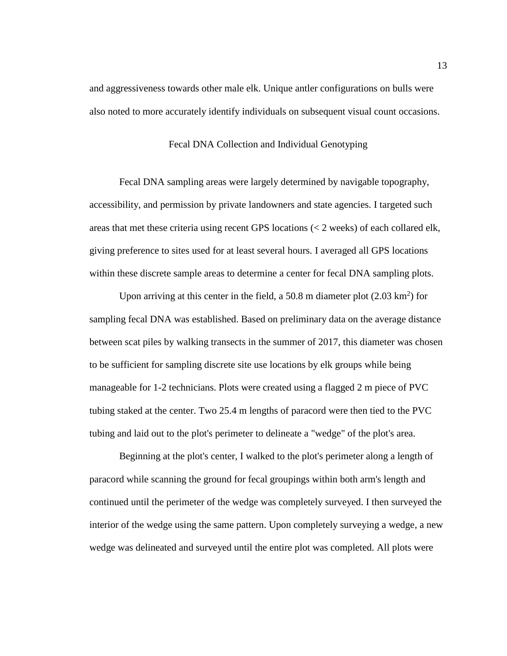<span id="page-21-0"></span>and aggressiveness towards other male elk. Unique antler configurations on bulls were also noted to more accurately identify individuals on subsequent visual count occasions.

# Fecal DNA Collection and Individual Genotyping

Fecal DNA sampling areas were largely determined by navigable topography, accessibility, and permission by private landowners and state agencies. I targeted such areas that met these criteria using recent GPS locations (< 2 weeks) of each collared elk, giving preference to sites used for at least several hours. I averaged all GPS locations within these discrete sample areas to determine a center for fecal DNA sampling plots.

Upon arriving at this center in the field, a 50.8 m diameter plot  $(2.03 \text{ km}^2)$  for sampling fecal DNA was established. Based on preliminary data on the average distance between scat piles by walking transects in the summer of 2017, this diameter was chosen to be sufficient for sampling discrete site use locations by elk groups while being manageable for 1-2 technicians. Plots were created using a flagged 2 m piece of PVC tubing staked at the center. Two 25.4 m lengths of paracord were then tied to the PVC tubing and laid out to the plot's perimeter to delineate a "wedge" of the plot's area.

Beginning at the plot's center, I walked to the plot's perimeter along a length of paracord while scanning the ground for fecal groupings within both arm's length and continued until the perimeter of the wedge was completely surveyed. I then surveyed the interior of the wedge using the same pattern. Upon completely surveying a wedge, a new wedge was delineated and surveyed until the entire plot was completed. All plots were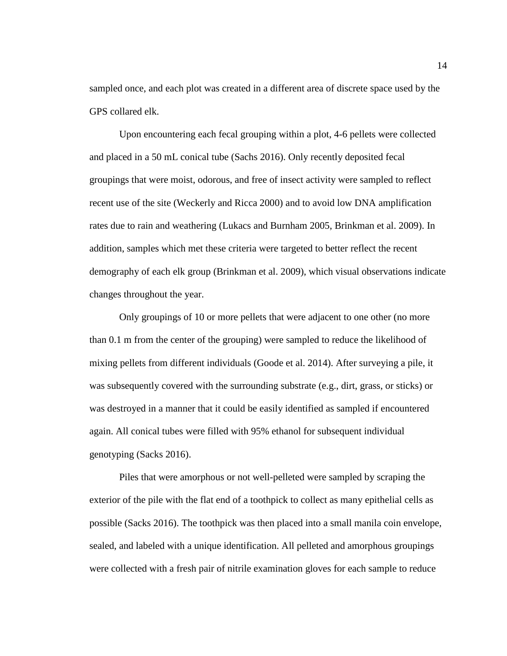sampled once, and each plot was created in a different area of discrete space used by the GPS collared elk.

Upon encountering each fecal grouping within a plot, 4-6 pellets were collected and placed in a 50 mL conical tube (Sachs 2016). Only recently deposited fecal groupings that were moist, odorous, and free of insect activity were sampled to reflect recent use of the site (Weckerly and Ricca 2000) and to avoid low DNA amplification rates due to rain and weathering (Lukacs and Burnham 2005, Brinkman et al. 2009). In addition, samples which met these criteria were targeted to better reflect the recent demography of each elk group (Brinkman et al. 2009), which visual observations indicate changes throughout the year.

Only groupings of 10 or more pellets that were adjacent to one other (no more than 0.1 m from the center of the grouping) were sampled to reduce the likelihood of mixing pellets from different individuals (Goode et al. 2014). After surveying a pile, it was subsequently covered with the surrounding substrate (e.g., dirt, grass, or sticks) or was destroyed in a manner that it could be easily identified as sampled if encountered again. All conical tubes were filled with 95% ethanol for subsequent individual genotyping (Sacks 2016).

Piles that were amorphous or not well-pelleted were sampled by scraping the exterior of the pile with the flat end of a toothpick to collect as many epithelial cells as possible (Sacks 2016). The toothpick was then placed into a small manila coin envelope, sealed, and labeled with a unique identification. All pelleted and amorphous groupings were collected with a fresh pair of nitrile examination gloves for each sample to reduce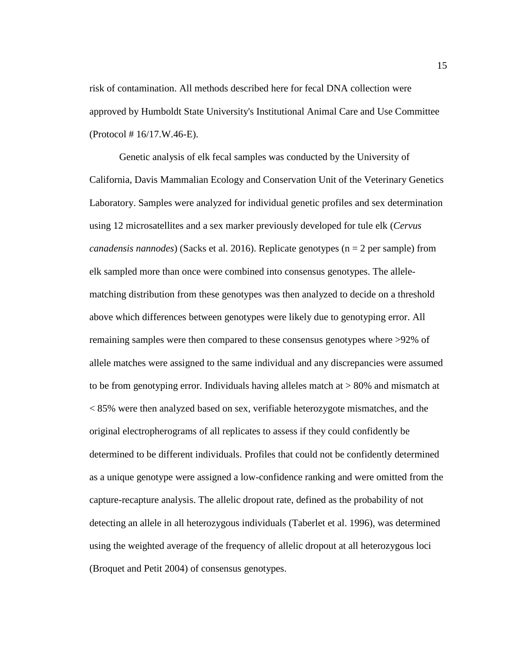risk of contamination. All methods described here for fecal DNA collection were approved by Humboldt State University's Institutional Animal Care and Use Committee (Protocol # 16/17.W.46-E).

Genetic analysis of elk fecal samples was conducted by the University of California, Davis Mammalian Ecology and Conservation Unit of the Veterinary Genetics Laboratory. Samples were analyzed for individual genetic profiles and sex determination using 12 microsatellites and a sex marker previously developed for tule elk (*Cervus canadensis nannodes*) (Sacks et al. 2016). Replicate genotypes (n = 2 per sample) from elk sampled more than once were combined into consensus genotypes. The allelematching distribution from these genotypes was then analyzed to decide on a threshold above which differences between genotypes were likely due to genotyping error. All remaining samples were then compared to these consensus genotypes where >92% of allele matches were assigned to the same individual and any discrepancies were assumed to be from genotyping error. Individuals having alleles match at > 80% and mismatch at < 85% were then analyzed based on sex, verifiable heterozygote mismatches, and the original electropherograms of all replicates to assess if they could confidently be determined to be different individuals. Profiles that could not be confidently determined as a unique genotype were assigned a low-confidence ranking and were omitted from the capture-recapture analysis. The allelic dropout rate, defined as the probability of not detecting an allele in all heterozygous individuals (Taberlet et al. 1996), was determined using the weighted average of the frequency of allelic dropout at all heterozygous loci (Broquet and Petit 2004) of consensus genotypes.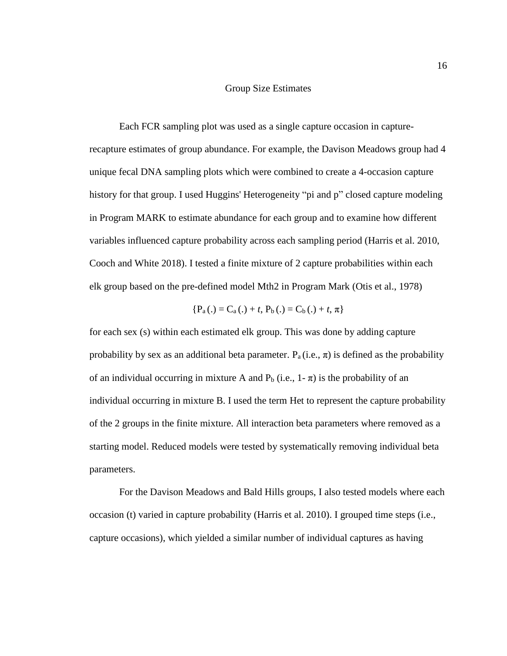### Group Size Estimates

<span id="page-24-0"></span>Each FCR sampling plot was used as a single capture occasion in capturerecapture estimates of group abundance. For example, the Davison Meadows group had 4 unique fecal DNA sampling plots which were combined to create a 4-occasion capture history for that group. I used Huggins' Heterogeneity "pi and p" closed capture modeling in Program MARK to estimate abundance for each group and to examine how different variables influenced capture probability across each sampling period (Harris et al. 2010, Cooch and White 2018). I tested a finite mixture of 2 capture probabilities within each elk group based on the pre-defined model Mth2 in Program Mark (Otis et al., 1978)

$$
\{P_a(.) = C_a(.) + t, P_b(.) = C_b(.) + t, \pi\}
$$

for each sex (s) within each estimated elk group. This was done by adding capture probability by sex as an additional beta parameter.  $P_a(i.e., \pi)$  is defined as the probability of an individual occurring in mixture A and  $P_b$  (i.e., 1- $\pi$ ) is the probability of an individual occurring in mixture B. I used the term Het to represent the capture probability of the 2 groups in the finite mixture. All interaction beta parameters where removed as a starting model. Reduced models were tested by systematically removing individual beta parameters.

For the Davison Meadows and Bald Hills groups, I also tested models where each occasion (t) varied in capture probability (Harris et al. 2010). I grouped time steps (i.e., capture occasions), which yielded a similar number of individual captures as having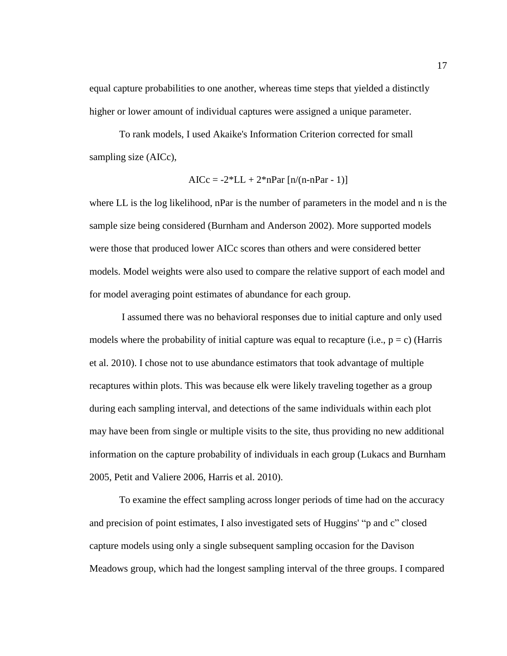equal capture probabilities to one another, whereas time steps that yielded a distinctly higher or lower amount of individual captures were assigned a unique parameter.

To rank models, I used Akaike's Information Criterion corrected for small sampling size (AICc),

$$
AICc = -2*LL + 2*nPar [n/(n-nPar - 1)]
$$

where LL is the log likelihood, nPar is the number of parameters in the model and n is the sample size being considered (Burnham and Anderson 2002). More supported models were those that produced lower AICc scores than others and were considered better models. Model weights were also used to compare the relative support of each model and for model averaging point estimates of abundance for each group.

I assumed there was no behavioral responses due to initial capture and only used models where the probability of initial capture was equal to recapture (i.e.,  $p = c$ ) (Harris et al. 2010). I chose not to use abundance estimators that took advantage of multiple recaptures within plots. This was because elk were likely traveling together as a group during each sampling interval, and detections of the same individuals within each plot may have been from single or multiple visits to the site, thus providing no new additional information on the capture probability of individuals in each group (Lukacs and Burnham 2005, Petit and Valiere 2006, Harris et al. 2010).

To examine the effect sampling across longer periods of time had on the accuracy and precision of point estimates, I also investigated sets of Huggins' "p and c" closed capture models using only a single subsequent sampling occasion for the Davison Meadows group, which had the longest sampling interval of the three groups. I compared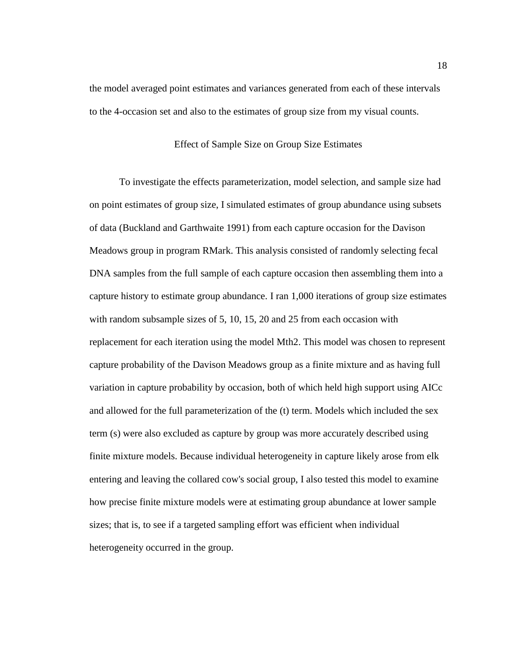<span id="page-26-0"></span>the model averaged point estimates and variances generated from each of these intervals to the 4-occasion set and also to the estimates of group size from my visual counts.

# Effect of Sample Size on Group Size Estimates

To investigate the effects parameterization, model selection, and sample size had on point estimates of group size, I simulated estimates of group abundance using subsets of data (Buckland and Garthwaite 1991) from each capture occasion for the Davison Meadows group in program RMark. This analysis consisted of randomly selecting fecal DNA samples from the full sample of each capture occasion then assembling them into a capture history to estimate group abundance. I ran 1,000 iterations of group size estimates with random subsample sizes of 5, 10, 15, 20 and 25 from each occasion with replacement for each iteration using the model Mth2. This model was chosen to represent capture probability of the Davison Meadows group as a finite mixture and as having full variation in capture probability by occasion, both of which held high support using AICc and allowed for the full parameterization of the (t) term. Models which included the sex term (s) were also excluded as capture by group was more accurately described using finite mixture models. Because individual heterogeneity in capture likely arose from elk entering and leaving the collared cow's social group, I also tested this model to examine how precise finite mixture models were at estimating group abundance at lower sample sizes; that is, to see if a targeted sampling effort was efficient when individual heterogeneity occurred in the group.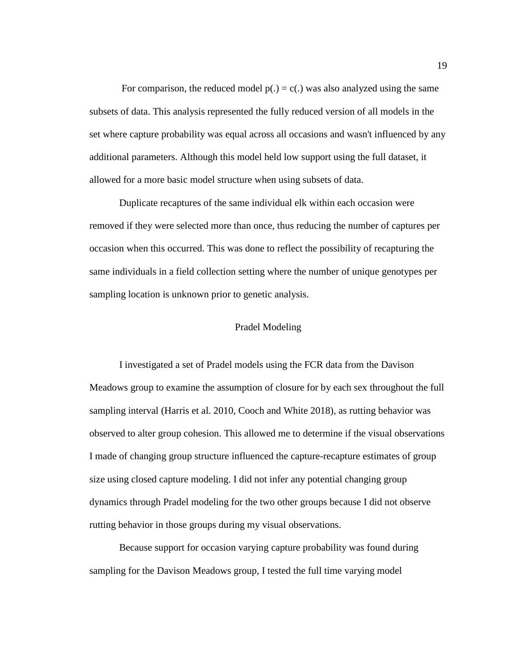For comparison, the reduced model  $p(.) = c(.)$  was also analyzed using the same subsets of data. This analysis represented the fully reduced version of all models in the set where capture probability was equal across all occasions and wasn't influenced by any additional parameters. Although this model held low support using the full dataset, it allowed for a more basic model structure when using subsets of data.

Duplicate recaptures of the same individual elk within each occasion were removed if they were selected more than once, thus reducing the number of captures per occasion when this occurred. This was done to reflect the possibility of recapturing the same individuals in a field collection setting where the number of unique genotypes per sampling location is unknown prior to genetic analysis.

# Pradel Modeling

<span id="page-27-0"></span>I investigated a set of Pradel models using the FCR data from the Davison Meadows group to examine the assumption of closure for by each sex throughout the full sampling interval (Harris et al. 2010, Cooch and White 2018), as rutting behavior was observed to alter group cohesion. This allowed me to determine if the visual observations I made of changing group structure influenced the capture-recapture estimates of group size using closed capture modeling. I did not infer any potential changing group dynamics through Pradel modeling for the two other groups because I did not observe rutting behavior in those groups during my visual observations.

Because support for occasion varying capture probability was found during sampling for the Davison Meadows group, I tested the full time varying model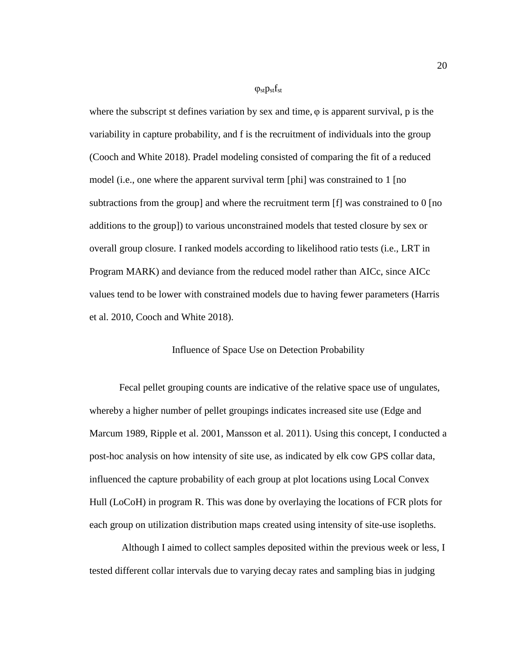#### $\varphi_{st}$ p<sub>st</sub>f<sub>st</sub>

where the subscript st defines variation by sex and time,  $\varphi$  is apparent survival, p is the variability in capture probability, and f is the recruitment of individuals into the group (Cooch and White 2018). Pradel modeling consisted of comparing the fit of a reduced model (i.e., one where the apparent survival term [phi] was constrained to 1 [no subtractions from the group] and where the recruitment term [f] was constrained to 0 [no additions to the group]) to various unconstrained models that tested closure by sex or overall group closure. I ranked models according to likelihood ratio tests (i.e., LRT in Program MARK) and deviance from the reduced model rather than AICc, since AICc values tend to be lower with constrained models due to having fewer parameters (Harris et al. 2010, Cooch and White 2018).

# Influence of Space Use on Detection Probability

<span id="page-28-0"></span>Fecal pellet grouping counts are indicative of the relative space use of ungulates, whereby a higher number of pellet groupings indicates increased site use (Edge and Marcum 1989, Ripple et al. 2001, Mansson et al. 2011). Using this concept, I conducted a post-hoc analysis on how intensity of site use, as indicated by elk cow GPS collar data, influenced the capture probability of each group at plot locations using Local Convex Hull (LoCoH) in program R. This was done by overlaying the locations of FCR plots for each group on utilization distribution maps created using intensity of site-use isopleths.

Although I aimed to collect samples deposited within the previous week or less, I tested different collar intervals due to varying decay rates and sampling bias in judging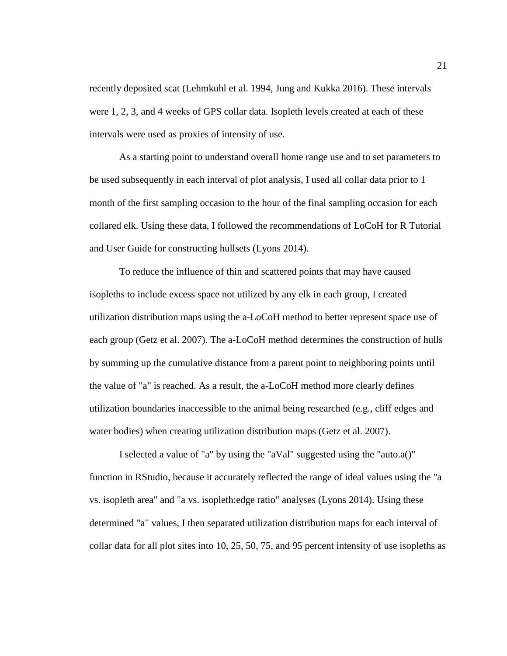recently deposited scat (Lehmkuhl et al. 1994, Jung and Kukka 2016). These intervals were 1, 2, 3, and 4 weeks of GPS collar data. Isopleth levels created at each of these intervals were used as proxies of intensity of use.

As a starting point to understand overall home range use and to set parameters to be used subsequently in each interval of plot analysis, I used all collar data prior to 1 month of the first sampling occasion to the hour of the final sampling occasion for each collared elk. Using these data, I followed the recommendations of LoCoH for R Tutorial and User Guide for constructing hullsets (Lyons 2014).

To reduce the influence of thin and scattered points that may have caused isopleths to include excess space not utilized by any elk in each group, I created utilization distribution maps using the a-LoCoH method to better represent space use of each group (Getz et al. 2007). The a-LoCoH method determines the construction of hulls by summing up the cumulative distance from a parent point to neighboring points until the value of "a" is reached. As a result, the a-LoCoH method more clearly defines utilization boundaries inaccessible to the animal being researched (e.g., cliff edges and water bodies) when creating utilization distribution maps (Getz et al. 2007).

I selected a value of "a" by using the "aVal" suggested using the "auto.a()" function in RStudio, because it accurately reflected the range of ideal values using the "a vs. isopleth area" and "a vs. isopleth:edge ratio" analyses (Lyons 2014). Using these determined "a" values, I then separated utilization distribution maps for each interval of collar data for all plot sites into 10, 25, 50, 75, and 95 percent intensity of use isopleths as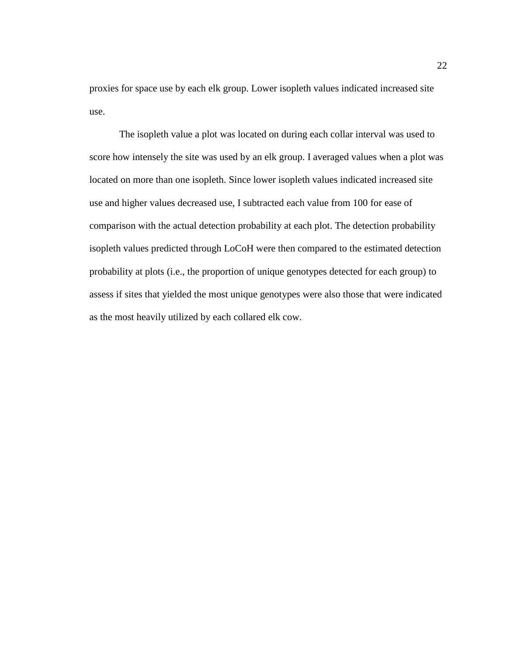proxies for space use by each elk group. Lower isopleth values indicated increased site use.

The isopleth value a plot was located on during each collar interval was used to score how intensely the site was used by an elk group. I averaged values when a plot was located on more than one isopleth. Since lower isopleth values indicated increased site use and higher values decreased use, I subtracted each value from 100 for ease of comparison with the actual detection probability at each plot. The detection probability isopleth values predicted through LoCoH were then compared to the estimated detection probability at plots (i.e., the proportion of unique genotypes detected for each group) to assess if sites that yielded the most unique genotypes were also those that were indicated as the most heavily utilized by each collared elk cow.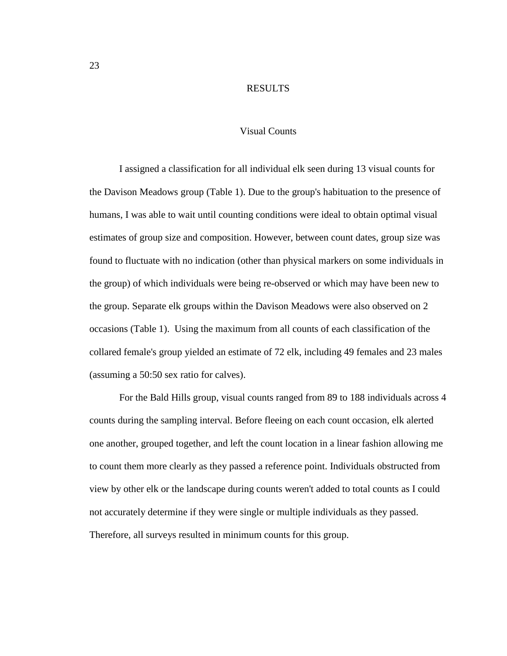#### RESULTS

## Visual Counts

<span id="page-31-1"></span><span id="page-31-0"></span>I assigned a classification for all individual elk seen during 13 visual counts for the Davison Meadows group (Table 1). Due to the group's habituation to the presence of humans, I was able to wait until counting conditions were ideal to obtain optimal visual estimates of group size and composition. However, between count dates, group size was found to fluctuate with no indication (other than physical markers on some individuals in the group) of which individuals were being re-observed or which may have been new to the group. Separate elk groups within the Davison Meadows were also observed on 2 occasions (Table 1). Using the maximum from all counts of each classification of the collared female's group yielded an estimate of 72 elk, including 49 females and 23 males (assuming a 50:50 sex ratio for calves).

For the Bald Hills group, visual counts ranged from 89 to 188 individuals across 4 counts during the sampling interval. Before fleeing on each count occasion, elk alerted one another, grouped together, and left the count location in a linear fashion allowing me to count them more clearly as they passed a reference point. Individuals obstructed from view by other elk or the landscape during counts weren't added to total counts as I could not accurately determine if they were single or multiple individuals as they passed. Therefore, all surveys resulted in minimum counts for this group.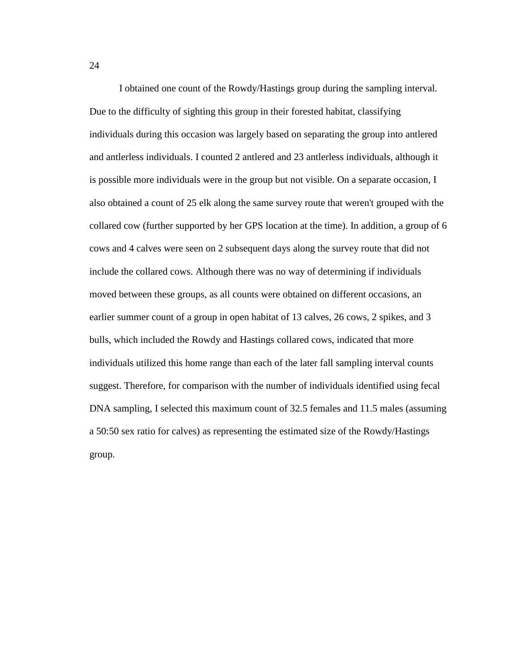I obtained one count of the Rowdy/Hastings group during the sampling interval. Due to the difficulty of sighting this group in their forested habitat, classifying individuals during this occasion was largely based on separating the group into antlered and antlerless individuals. I counted 2 antlered and 23 antlerless individuals, although it is possible more individuals were in the group but not visible. On a separate occasion, I also obtained a count of 25 elk along the same survey route that weren't grouped with the collared cow (further supported by her GPS location at the time). In addition, a group of 6 cows and 4 calves were seen on 2 subsequent days along the survey route that did not include the collared cows. Although there was no way of determining if individuals moved between these groups, as all counts were obtained on different occasions, an earlier summer count of a group in open habitat of 13 calves, 26 cows, 2 spikes, and 3 bulls, which included the Rowdy and Hastings collared cows, indicated that more individuals utilized this home range than each of the later fall sampling interval counts suggest. Therefore, for comparison with the number of individuals identified using fecal DNA sampling, I selected this maximum count of 32.5 females and 11.5 males (assuming a 50:50 sex ratio for calves) as representing the estimated size of the Rowdy/Hastings group.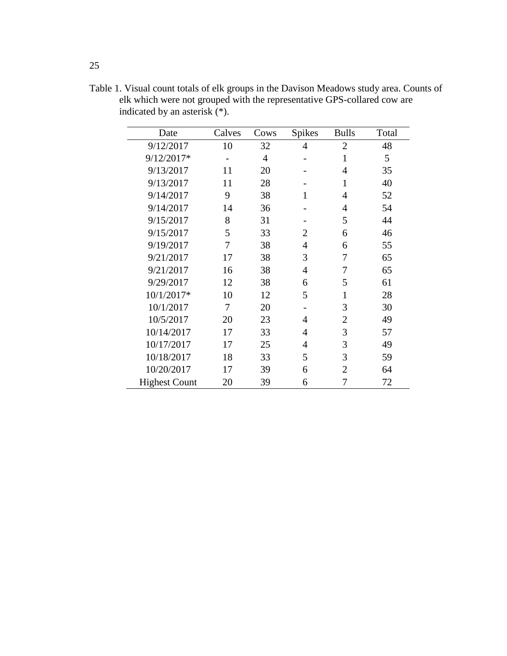| Date                 | Calves | Cows | <b>Spikes</b> | <b>Bulls</b>   | Total |
|----------------------|--------|------|---------------|----------------|-------|
| 9/12/2017            | 10     | 32   | 4             | $\overline{2}$ | 48    |
| 9/12/2017*           |        | 4    |               | 1              | 5     |
| 9/13/2017            | 11     | 20   |               | 4              | 35    |
| 9/13/2017            | 11     | 28   |               | 1              | 40    |
| 9/14/2017            | 9      | 38   | 1             | $\overline{4}$ | 52    |
| 9/14/2017            | 14     | 36   |               | 4              | 54    |
| 9/15/2017            | 8      | 31   |               | 5              | 44    |
| 9/15/2017            | 5      | 33   | 2             | 6              | 46    |
| 9/19/2017            | 7      | 38   | 4             | 6              | 55    |
| 9/21/2017            | 17     | 38   | 3             | 7              | 65    |
| 9/21/2017            | 16     | 38   | 4             | 7              | 65    |
| 9/29/2017            | 12     | 38   | 6             | 5              | 61    |
| 10/1/2017*           | 10     | 12   | 5             | 1              | 28    |
| 10/1/2017            | 7      | 20   |               | 3              | 30    |
| 10/5/2017            | 20     | 23   | 4             | $\overline{2}$ | 49    |
| 10/14/2017           | 17     | 33   | 4             | 3              | 57    |
| 10/17/2017           | 17     | 25   | 4             | 3              | 49    |
| 10/18/2017           | 18     | 33   | 5             | 3              | 59    |
| 10/20/2017           | 17     | 39   | 6             | 2              | 64    |
| <b>Highest Count</b> | 20     | 39   | 6             | 7              | 72    |

<span id="page-33-0"></span>Table 1. Visual count totals of elk groups in the Davison Meadows study area. Counts of elk which were not grouped with the representative GPS-collared cow are indicated by an asterisk (\*).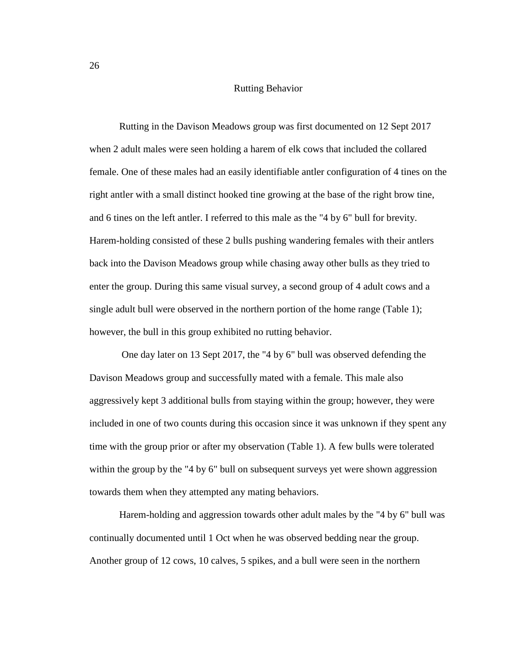# Rutting Behavior

<span id="page-34-0"></span>Rutting in the Davison Meadows group was first documented on 12 Sept 2017 when 2 adult males were seen holding a harem of elk cows that included the collared female. One of these males had an easily identifiable antler configuration of 4 tines on the right antler with a small distinct hooked tine growing at the base of the right brow tine, and 6 tines on the left antler. I referred to this male as the "4 by 6" bull for brevity. Harem-holding consisted of these 2 bulls pushing wandering females with their antlers back into the Davison Meadows group while chasing away other bulls as they tried to enter the group. During this same visual survey, a second group of 4 adult cows and a single adult bull were observed in the northern portion of the home range (Table 1); however, the bull in this group exhibited no rutting behavior.

One day later on 13 Sept 2017, the "4 by 6" bull was observed defending the Davison Meadows group and successfully mated with a female. This male also aggressively kept 3 additional bulls from staying within the group; however, they were included in one of two counts during this occasion since it was unknown if they spent any time with the group prior or after my observation (Table 1). A few bulls were tolerated within the group by the "4 by 6" bull on subsequent surveys yet were shown aggression towards them when they attempted any mating behaviors.

Harem-holding and aggression towards other adult males by the "4 by 6" bull was continually documented until 1 Oct when he was observed bedding near the group. Another group of 12 cows, 10 calves, 5 spikes, and a bull were seen in the northern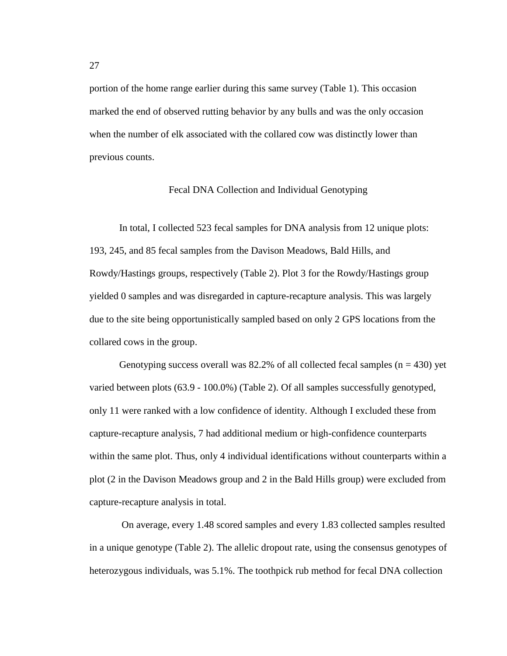portion of the home range earlier during this same survey (Table 1). This occasion marked the end of observed rutting behavior by any bulls and was the only occasion when the number of elk associated with the collared cow was distinctly lower than previous counts.

#### Fecal DNA Collection and Individual Genotyping

<span id="page-35-0"></span>In total, I collected 523 fecal samples for DNA analysis from 12 unique plots: 193, 245, and 85 fecal samples from the Davison Meadows, Bald Hills, and Rowdy/Hastings groups, respectively (Table 2). Plot 3 for the Rowdy/Hastings group yielded 0 samples and was disregarded in capture-recapture analysis. This was largely due to the site being opportunistically sampled based on only 2 GPS locations from the collared cows in the group.

Genotyping success overall was 82.2% of all collected fecal samples  $(n = 430)$  yet varied between plots (63.9 - 100.0%) (Table 2). Of all samples successfully genotyped, only 11 were ranked with a low confidence of identity. Although I excluded these from capture-recapture analysis, 7 had additional medium or high-confidence counterparts within the same plot. Thus, only 4 individual identifications without counterparts within a plot (2 in the Davison Meadows group and 2 in the Bald Hills group) were excluded from capture-recapture analysis in total.

On average, every 1.48 scored samples and every 1.83 collected samples resulted in a unique genotype (Table 2). The allelic dropout rate, using the consensus genotypes of heterozygous individuals, was 5.1%. The toothpick rub method for fecal DNA collection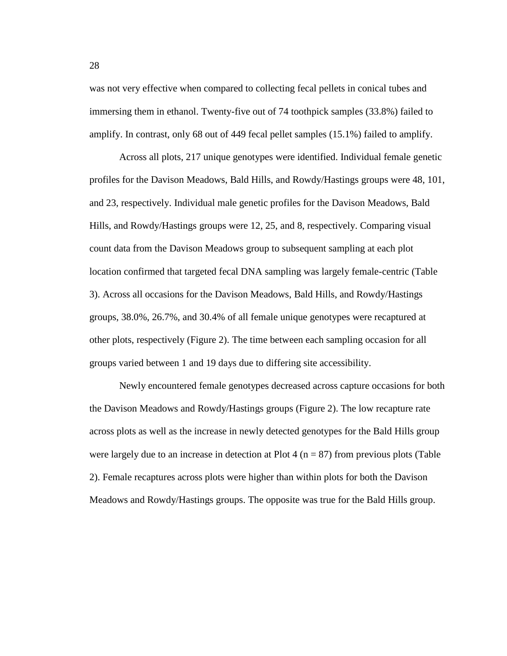was not very effective when compared to collecting fecal pellets in conical tubes and immersing them in ethanol. Twenty-five out of 74 toothpick samples (33.8%) failed to amplify. In contrast, only 68 out of 449 fecal pellet samples (15.1%) failed to amplify.

Across all plots, 217 unique genotypes were identified. Individual female genetic profiles for the Davison Meadows, Bald Hills, and Rowdy/Hastings groups were 48, 101, and 23, respectively. Individual male genetic profiles for the Davison Meadows, Bald Hills, and Rowdy/Hastings groups were 12, 25, and 8, respectively. Comparing visual count data from the Davison Meadows group to subsequent sampling at each plot location confirmed that targeted fecal DNA sampling was largely female-centric (Table 3). Across all occasions for the Davison Meadows, Bald Hills, and Rowdy/Hastings groups, 38.0%, 26.7%, and 30.4% of all female unique genotypes were recaptured at other plots, respectively (Figure 2). The time between each sampling occasion for all groups varied between 1 and 19 days due to differing site accessibility.

Newly encountered female genotypes decreased across capture occasions for both the Davison Meadows and Rowdy/Hastings groups (Figure 2). The low recapture rate across plots as well as the increase in newly detected genotypes for the Bald Hills group were largely due to an increase in detection at Plot 4 ( $n = 87$ ) from previous plots (Table 2). Female recaptures across plots were higher than within plots for both the Davison Meadows and Rowdy/Hastings groups. The opposite was true for the Bald Hills group.

28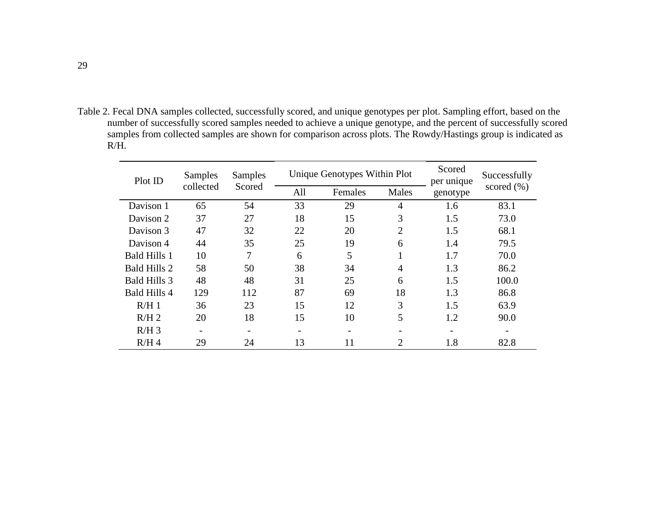Table 2. Fecal DNA samples collected, successfully scored, and unique genotypes per plot. Sampling effort, based on the number of successfully scored samples needed to achieve a unique genotype, and the percent of successfully scored samples from collected samples are shown for comparison across plots. The Rowdy/Hastings group is indicated as R/H.

| Plot ID             | Samples   | Samples |     | Unique Genotypes Within Plot | Scored<br>per unique | Successfully |                |  |
|---------------------|-----------|---------|-----|------------------------------|----------------------|--------------|----------------|--|
|                     | collected | Scored  | All | Females                      | Males                | genotype     | scored $(\% )$ |  |
| Davison 1           | 65        | 54      | 33  | 29                           | 4                    | 1.6          | 83.1           |  |
| Davison 2           | 37        | 27      | 18  | 15                           | 3                    | 1.5          | 73.0           |  |
| Davison 3           | 47        | 32      | 22  | 20                           | $\overline{2}$       | 1.5          | 68.1           |  |
| Davison 4           | 44        | 35      | 25  | 19                           | 6                    | 1.4          | 79.5           |  |
| <b>Bald Hills 1</b> | 10        | 7       | 6   | 5                            |                      | 1.7          | 70.0           |  |
| <b>Bald Hills 2</b> | 58        | 50      | 38  | 34                           | 4                    | 1.3          | 86.2           |  |
| <b>Bald Hills 3</b> | 48        | 48      | 31  | 25                           | 6                    | 1.5          | 100.0          |  |
| <b>Bald Hills 4</b> | 129       | 112     | 87  | 69                           | 18                   | 1.3          | 86.8           |  |
| R/H1                | 36        | 23      | 15  | 12                           | 3                    | 1.5          | 63.9           |  |
| R/H2                | 20        | 18      | 15  | 10                           | 5                    | 1.2          | 90.0           |  |
| $R/H$ 3             |           |         |     |                              |                      |              |                |  |
| R/H4                | 29        | 24      | 13  | 11                           | $\overline{2}$       | 1.8          | 82.8           |  |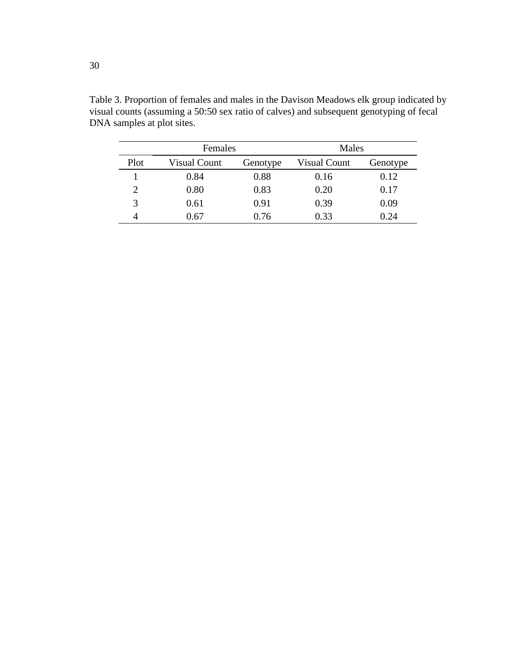|                | Females      |          | Males        |          |
|----------------|--------------|----------|--------------|----------|
| Plot           | Visual Count | Genotype | Visual Count | Genotype |
|                | 0.84         | 0.88     | 0.16         | 0.12     |
| $\overline{2}$ | 0.80         | 0.83     | 0.20         | 0.17     |
| 3              | 0.61         | 0.91     | 0.39         | 0.09     |
| 4              | 0.67         | 0.76     | 0.33         | 0.24     |

Table 3. Proportion of females and males in the Davison Meadows elk group indicated by visual counts (assuming a 50:50 sex ratio of calves) and subsequent genotyping of fecal DNA samples at plot sites.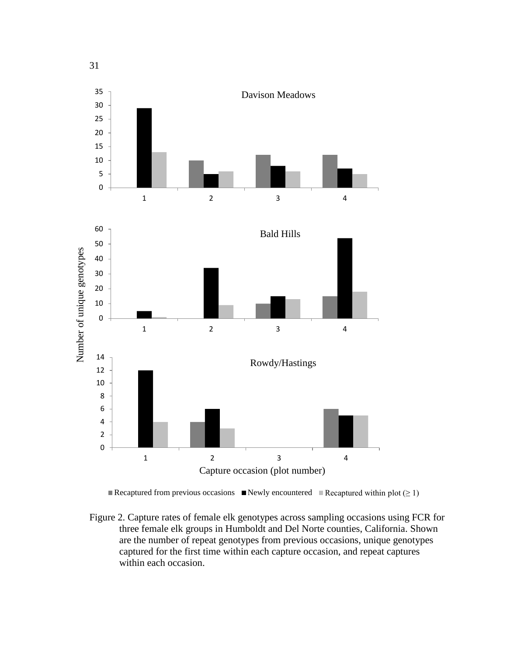

Recaptured from previous occasions Newly encountered Recaptured within plot  $(\geq 1)$ 

Figure 2. Capture rates of female elk genotypes across sampling occasions using FCR for three female elk groups in Humboldt and Del Norte counties, California. Shown are the number of repeat genotypes from previous occasions, unique genotypes captured for the first time within each capture occasion, and repeat captures within each occasion.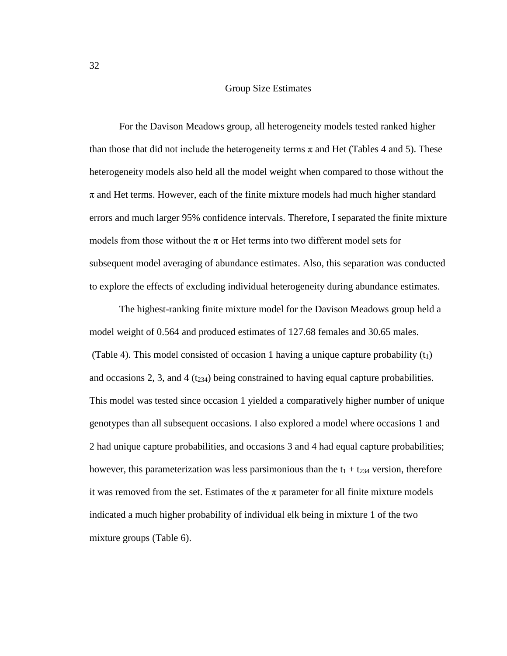## Group Size Estimates

For the Davison Meadows group, all heterogeneity models tested ranked higher than those that did not include the heterogeneity terms  $\pi$  and Het (Tables 4 and 5). These heterogeneity models also held all the model weight when compared to those without the  $\pi$  and Het terms. However, each of the finite mixture models had much higher standard errors and much larger 95% confidence intervals. Therefore, I separated the finite mixture models from those without the  $\pi$  or Het terms into two different model sets for subsequent model averaging of abundance estimates. Also, this separation was conducted to explore the effects of excluding individual heterogeneity during abundance estimates.

The highest-ranking finite mixture model for the Davison Meadows group held a model weight of 0.564 and produced estimates of 127.68 females and 30.65 males. (Table 4). This model consisted of occasion 1 having a unique capture probability  $(t_1)$ and occasions 2, 3, and 4  $(t_{234})$  being constrained to having equal capture probabilities. This model was tested since occasion 1 yielded a comparatively higher number of unique genotypes than all subsequent occasions. I also explored a model where occasions 1 and 2 had unique capture probabilities, and occasions 3 and 4 had equal capture probabilities; however, this parameterization was less parsimonious than the  $t_1 + t_{234}$  version, therefore it was removed from the set. Estimates of the  $\pi$  parameter for all finite mixture models indicated a much higher probability of individual elk being in mixture 1 of the two mixture groups (Table 6).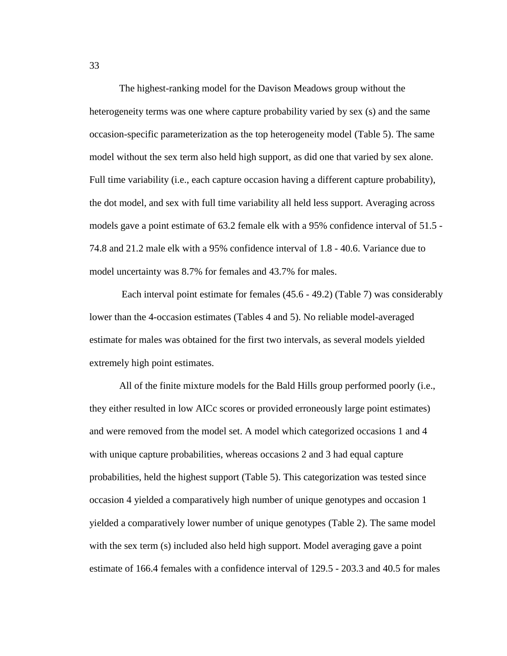The highest-ranking model for the Davison Meadows group without the heterogeneity terms was one where capture probability varied by sex (s) and the same occasion-specific parameterization as the top heterogeneity model (Table 5). The same model without the sex term also held high support, as did one that varied by sex alone. Full time variability (i.e., each capture occasion having a different capture probability), the dot model, and sex with full time variability all held less support. Averaging across models gave a point estimate of 63.2 female elk with a 95% confidence interval of 51.5 - 74.8 and 21.2 male elk with a 95% confidence interval of 1.8 - 40.6. Variance due to model uncertainty was 8.7% for females and 43.7% for males.

Each interval point estimate for females (45.6 - 49.2) (Table 7) was considerably lower than the 4-occasion estimates (Tables 4 and 5). No reliable model-averaged estimate for males was obtained for the first two intervals, as several models yielded extremely high point estimates.

All of the finite mixture models for the Bald Hills group performed poorly (i.e., they either resulted in low AICc scores or provided erroneously large point estimates) and were removed from the model set. A model which categorized occasions 1 and 4 with unique capture probabilities, whereas occasions 2 and 3 had equal capture probabilities, held the highest support (Table 5). This categorization was tested since occasion 4 yielded a comparatively high number of unique genotypes and occasion 1 yielded a comparatively lower number of unique genotypes (Table 2). The same model with the sex term (s) included also held high support. Model averaging gave a point estimate of 166.4 females with a confidence interval of 129.5 - 203.3 and 40.5 for males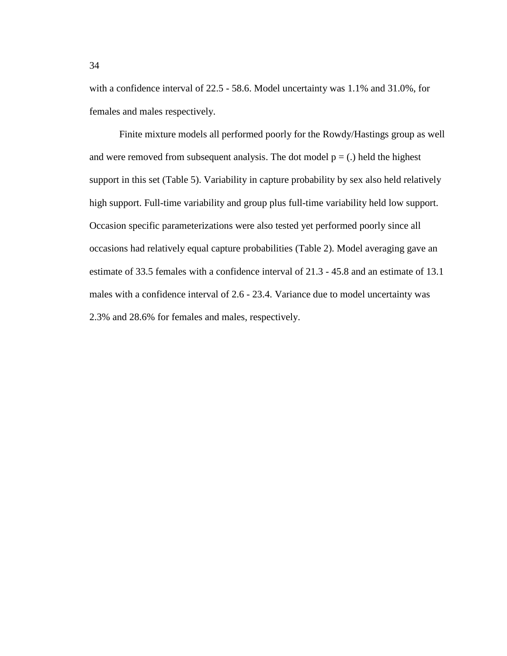with a confidence interval of 22.5 - 58.6. Model uncertainty was 1.1% and 31.0%, for females and males respectively.

Finite mixture models all performed poorly for the Rowdy/Hastings group as well and were removed from subsequent analysis. The dot model  $p = (.)$  held the highest support in this set (Table 5). Variability in capture probability by sex also held relatively high support. Full-time variability and group plus full-time variability held low support. Occasion specific parameterizations were also tested yet performed poorly since all occasions had relatively equal capture probabilities (Table 2). Model averaging gave an estimate of 33.5 females with a confidence interval of 21.3 - 45.8 and an estimate of 13.1 males with a confidence interval of 2.6 - 23.4. Variance due to model uncertainty was 2.3% and 28.6% for females and males, respectively.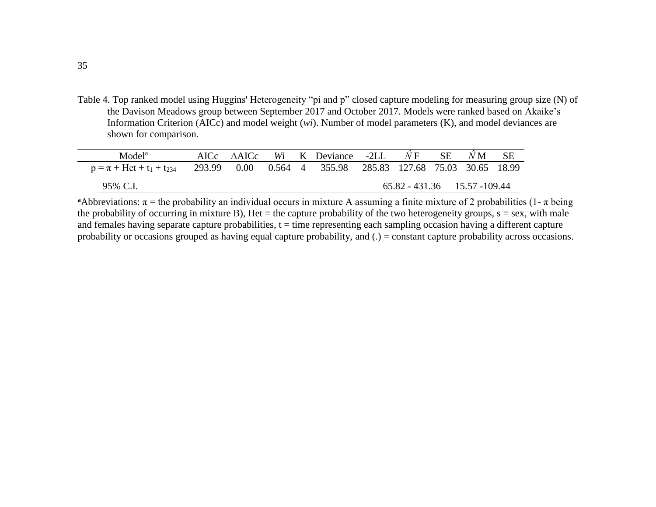Table 4. Top ranked model using Huggins' Heterogeneity "pi and p" closed capture modeling for measuring group size (N) of the Davison Meadows group between September 2017 and October 2017. Models were ranked based on Akaike's Information Criterion (AICc) and model weight (*wi*). Number of model parameters (K), and model deviances are shown for comparison.

| Model <sup>a</sup>              | AICc AAICc |  | Wi K Deviance                                                       | $-2LL$ | $N \, \mathrm{F}$              | <b>SE</b> | N <sub>M</sub> |  |
|---------------------------------|------------|--|---------------------------------------------------------------------|--------|--------------------------------|-----------|----------------|--|
| $p = \pi + Het + t_1 + t_{234}$ |            |  | 293.99  0.00  0.564  4  355.98  285.83  127.68  75.03  30.65  18.99 |        |                                |           |                |  |
| 95% C.I.                        |            |  |                                                                     |        | $65.82 - 431.36$ 15.57 -109.44 |           |                |  |

**a**Abbreviations:  $\pi$  = the probability an individual occurs in mixture A assuming a finite mixture of 2 probabilities (1-  $\pi$  being the probability of occurring in mixture B), Het  $=$  the capture probability of the two heterogeneity groups,  $s =$  sex, with male and females having separate capture probabilities,  $t =$  time representing each sampling occasion having a different capture probability or occasions grouped as having equal capture probability, and (.) = constant capture probability across occasions.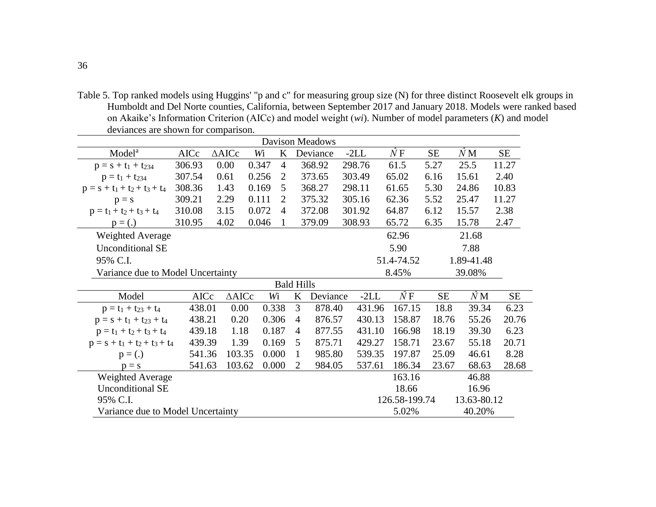Table 5. Top ranked models using Huggins' "p and c" for measuring group size (N) for three distinct Roosevelt elk groups in Humboldt and Del Norte counties, California, between September 2017 and January 2018. Models were ranked based on Akaike's Information Criterion (AICc) and model weight (*wi*). Number of model parameters (*K*) and model deviances are shown for comparison.

|                                   | <b>Davison Meadows</b> |                  |       |                |                |          |  |        |                     |           |             |           |
|-----------------------------------|------------------------|------------------|-------|----------------|----------------|----------|--|--------|---------------------|-----------|-------------|-----------|
| Model <sup>a</sup>                | AICc                   | $\triangle$ AICc | Wi    | K              |                | Deviance |  | $-2LL$ | $\hat{N}\, {\rm F}$ | <b>SE</b> | $\hat{N}$ M | <b>SE</b> |
| $p = s + t_1 + t_{234}$           | 306.93                 | 0.00             | 0.347 | $\overline{4}$ |                | 368.92   |  | 298.76 | 61.5                | 5.27      | 25.5        | 11.27     |
| $p = t_1 + t_{234}$               | 307.54                 | 0.61             | 0.256 | $\overline{2}$ |                | 373.65   |  | 303.49 | 65.02               | 6.16      | 15.61       | 2.40      |
| $p = s + t_1 + t_2 + t_3 + t_4$   | 308.36                 | 1.43             | 0.169 | 5              |                | 368.27   |  | 298.11 | 61.65               | 5.30      | 24.86       | 10.83     |
| $p = s$                           | 309.21                 | 2.29             | 0.111 | 2              |                | 375.32   |  | 305.16 | 62.36               | 5.52      | 25.47       | 11.27     |
| $p = t_1 + t_2 + t_3 + t_4$       | 310.08                 | 3.15             | 0.072 | $\overline{4}$ |                | 372.08   |  | 301.92 | 64.87               | 6.12      | 15.57       | 2.38      |
| $p = (.)$                         | 310.95                 | 4.02             | 0.046 | $\mathbf{1}$   |                | 379.09   |  | 308.93 | 65.72               | 6.35      | 15.78       | 2.47      |
| <b>Weighted Average</b>           |                        |                  |       |                |                |          |  |        | 62.96               |           | 21.68       |           |
| <b>Unconditional SE</b>           |                        |                  |       |                |                |          |  |        | 5.90                |           | 7.88        |           |
| 95% C.I.                          |                        |                  |       |                |                |          |  |        | 51.4-74.52          |           | 1.89-41.48  |           |
| Variance due to Model Uncertainty |                        |                  |       |                |                |          |  |        | 8.45%               |           | 39.08%      |           |
| <b>Bald Hills</b>                 |                        |                  |       |                |                |          |  |        |                     |           |             |           |
| Model                             | AICc                   | $\triangle AICc$ |       | Wi             | $\bf K$        | Deviance |  | $-2LL$ | $\hat{N}F$          | <b>SE</b> | $\hat{N}$ M | <b>SE</b> |
| $p = t_1 + t_{23} + t_4$          | 438.01                 | 0.00             |       | 0.338          | 3              | 878.40   |  | 431.96 | 167.15              | 18.8      | 39.34       | 6.23      |
| $p = s + t_1 + t_{23} + t_4$      | 438.21                 | 0.20             |       | 0.306          | $\overline{4}$ | 876.57   |  | 430.13 | 158.87              | 18.76     | 55.26       | 20.76     |
| $p = t_1 + t_2 + t_3 + t_4$       | 439.18                 | 1.18             |       | 0.187          | $\overline{4}$ | 877.55   |  | 431.10 | 166.98              | 18.19     | 39.30       | 6.23      |
| $p = s + t_1 + t_2 + t_3 + t_4$   | 439.39                 | 1.39             |       | 0.169          | 5              | 875.71   |  | 429.27 | 158.71              | 23.67     | 55.18       | 20.71     |
| $p = (.)$                         | 541.36                 | 103.35           |       | 0.000          | 1              | 985.80   |  | 539.35 | 197.87              | 25.09     | 46.61       | 8.28      |
| $p = s$                           | 541.63                 | 103.62           |       | 0.000          | $\overline{2}$ | 984.05   |  | 537.61 | 186.34              | 23.67     | 68.63       | 28.68     |
| Weighted Average                  |                        |                  |       |                |                |          |  |        | 163.16              |           | 46.88       |           |
| <b>Unconditional SE</b>           |                        |                  |       |                |                |          |  |        | 18.66               |           | 16.96       |           |
| 95% C.I.                          |                        |                  |       |                |                |          |  |        | 126.58-199.74       |           | 13.63-80.12 |           |
| Variance due to Model Uncertainty |                        |                  |       |                |                |          |  |        | 5.02%               |           | 40.20%      |           |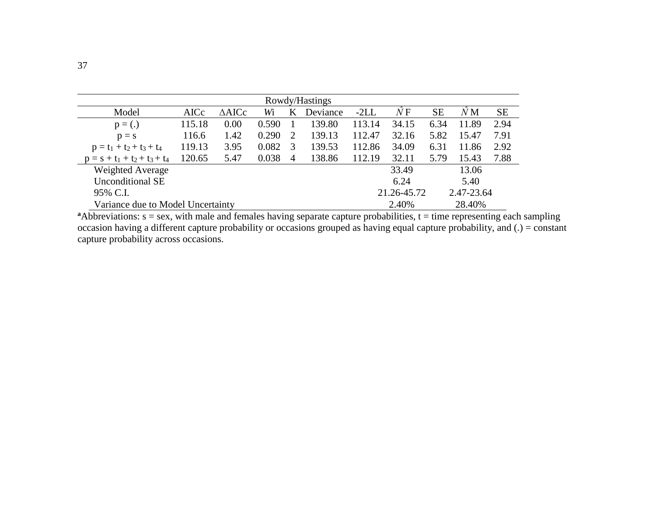| Rowdy/Hastings                    |        |                  |       |                       |          |        |             |           |             |           |
|-----------------------------------|--------|------------------|-------|-----------------------|----------|--------|-------------|-----------|-------------|-----------|
| Model                             | AICc   | $\triangle AICc$ | Wi    | K                     | Deviance | $-2LL$ | ŃΕ          | <b>SE</b> | $\hat{N}$ M | <b>SE</b> |
| $p = (.)$                         | 115.18 | 0.00             | 0.590 |                       | 139.80   | 113.14 | 34.15       | 6.34      | 11.89       | 2.94      |
| $p = s$                           | 116.6  | 1.42             | 0.290 | $\mathcal{D}_{\cdot}$ | 139.13   | 112.47 | 32.16       | 5.82      | 15.47       | 7.91      |
| $p = t_1 + t_2 + t_3 + t_4$       | 119.13 | 3.95             | 0.082 | 3                     | 139.53   | 112.86 | 34.09       | 6.31      | 11.86       | 2.92      |
| $p = s + t_1 + t_2 + t_3 + t_4$   | 120.65 | 5.47             | 0.038 | 4                     | 138.86   | 112.19 | 32.11       | 5.79      | 15.43       | 7.88      |
| Weighted Average                  |        |                  |       |                       |          |        | 33.49       |           | 13.06       |           |
| <b>Unconditional SE</b>           |        |                  |       |                       |          |        | 6.24        |           | 5.40        |           |
| 95% C.I.                          |        |                  |       |                       |          |        | 21.26-45.72 |           | 2.47-23.64  |           |
| Variance due to Model Uncertainty |        |                  |       |                       |          |        | 2.40%       |           | 28.40%      |           |

 $a$ Abbreviations:  $s =$  sex, with male and females having separate capture probabilities,  $t =$  time representing each sampling occasion having a different capture probability or occasions grouped as having equal capture probability, and (.) = constant capture probability across occasions.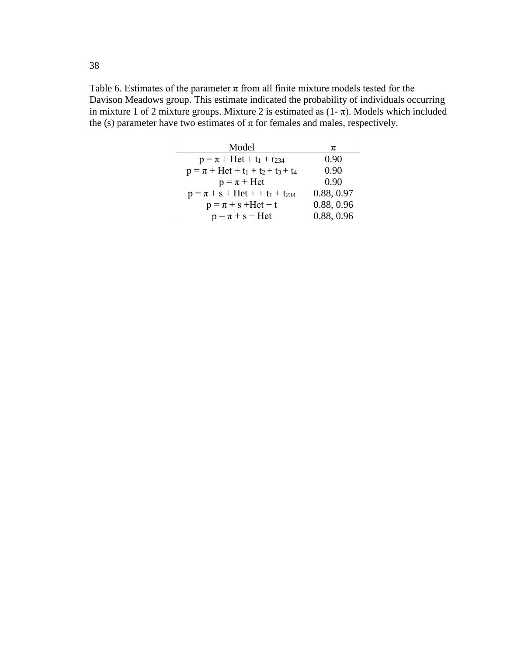Table 6. Estimates of the parameter  $\pi$  from all finite mixture models tested for the Davison Meadows group. This estimate indicated the probability of individuals occurring in mixture 1 of 2 mixture groups. Mixture 2 is estimated as  $(1 - \pi)$ . Models which included the (s) parameter have two estimates of  $\pi$  for females and males, respectively.

| Model                                   | π          |
|-----------------------------------------|------------|
| $p = \pi + Het + t_1 + t_{234}$         | 0.90       |
| $p = \pi + Het + t_1 + t_2 + t_3 + t_4$ | 0.90       |
| $p = \pi + H$ et                        | 0.90       |
| $p = \pi + s + Het + t_1 + t_{234}$     | 0.88, 0.97 |
| $p = \pi + s$ + Het + t                 | 0.88, 0.96 |
| $p = \pi + s + Het$                     | 0.88, 0.96 |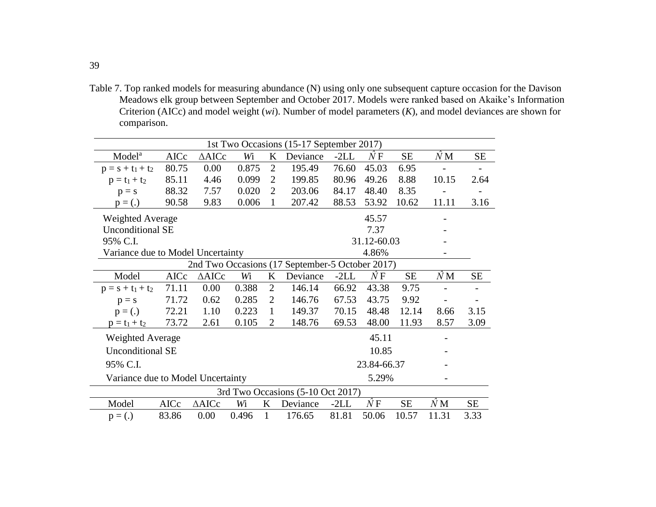Table 7. Top ranked models for measuring abundance (N) using only one subsequent capture occasion for the Davison Meadows elk group between September and October 2017. Models were ranked based on Akaike's Information Criterion (AICc) and model weight (*wi*). Number of model parameters (*K*), and model deviances are shown for comparison.

|                                                 |       |                  |       |                | 1st Two Occasions (15-17 September 2017) |        |                     |           |             |           |
|-------------------------------------------------|-------|------------------|-------|----------------|------------------------------------------|--------|---------------------|-----------|-------------|-----------|
| Model <sup>a</sup>                              | AICc  | $\triangle AICc$ | Wi    | K              | Deviance                                 | $-2LL$ | $\hat{N}\, {\rm F}$ | <b>SE</b> | $\hat{N}$ M | <b>SE</b> |
| $p = s + t_1 + t_2$                             | 80.75 | 0.00             | 0.875 | $\overline{2}$ | 195.49                                   | 76.60  | 45.03               | 6.95      |             |           |
| $p = t_1 + t_2$                                 | 85.11 | 4.46             | 0.099 | $\overline{2}$ | 199.85                                   | 80.96  | 49.26               | 8.88      | 10.15       | 2.64      |
| $p = s$                                         | 88.32 | 7.57             | 0.020 | $\overline{2}$ | 203.06                                   | 84.17  | 48.40               | 8.35      |             |           |
| $p = (.)$                                       | 90.58 | 9.83             | 0.006 | $\mathbf{1}$   | 207.42                                   | 88.53  | 53.92               | 10.62     | 11.11       | 3.16      |
| <b>Weighted Average</b>                         |       |                  |       |                |                                          |        | 45.57               |           |             |           |
| <b>Unconditional SE</b>                         |       |                  |       |                |                                          |        | 7.37                |           |             |           |
| 95% C.I.                                        |       |                  |       |                |                                          |        | 31.12-60.03         |           |             |           |
| Variance due to Model Uncertainty               |       |                  |       |                |                                          |        | 4.86%               |           |             |           |
| 2nd Two Occasions (17 September-5 October 2017) |       |                  |       |                |                                          |        |                     |           |             |           |
| Model                                           | AICc  | $\triangle$ AICc | Wi    | K              | Deviance                                 | $-2LL$ | $\hat{N}F$          | <b>SE</b> | $\hat{N}$ M | SE        |
| $p = s + t_1 + t_2$                             | 71.11 | 0.00             | 0.388 | $\overline{2}$ | 146.14                                   | 66.92  | 43.38               | 9.75      |             |           |
| $p = s$                                         | 71.72 | 0.62             | 0.285 | $\overline{2}$ | 146.76                                   | 67.53  | 43.75               | 9.92      |             |           |
| $p = (.)$                                       | 72.21 | 1.10             | 0.223 | $\mathbf{1}$   | 149.37                                   | 70.15  | 48.48               | 12.14     | 8.66        | 3.15      |
| $p = t_1 + t_2$                                 | 73.72 | 2.61             | 0.105 | $\overline{2}$ | 148.76                                   | 69.53  | 48.00               | 11.93     | 8.57        | 3.09      |
| <b>Weighted Average</b>                         |       |                  |       |                |                                          |        | 45.11               |           |             |           |
| <b>Unconditional SE</b>                         |       |                  |       |                |                                          |        | 10.85               |           |             |           |
| 95% C.I.                                        |       |                  |       |                |                                          |        | 23.84-66.37         |           |             |           |
| Variance due to Model Uncertainty               |       |                  |       |                |                                          |        | 5.29%               |           |             |           |
|                                                 |       |                  |       |                | 3rd Two Occasions (5-10 Oct 2017)        |        |                     |           |             |           |
| Model                                           | AICc  | $\triangle AICc$ | Wi    | K              | Deviance                                 | $-2LL$ | $\hat{N}F$          | <b>SE</b> | $\hat{N}$ M | <b>SE</b> |
| $p =(.)$                                        | 83.86 | 0.00             | 0.496 | 1              | 176.65                                   | 81.81  | 50.06               | 10.57     | 11.31       | 3.33      |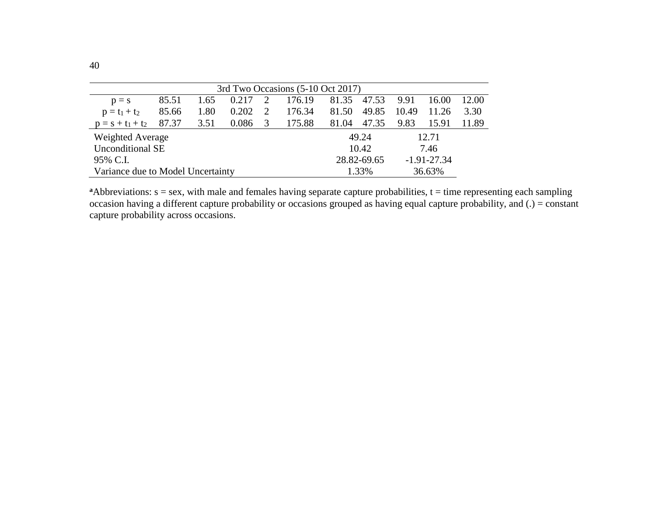| 3rd Two Occasions (5-10 Oct 2017)  |       |               |       |  |        |       |             |       |                 |       |
|------------------------------------|-------|---------------|-------|--|--------|-------|-------------|-------|-----------------|-------|
| $p = s$                            | 85.51 | 1.65          | 0.217 |  | 176.19 | 81.35 | 47.53       | 9.91  | 16.00           | 12.00 |
| $p = t_1 + t_2$                    | 85.66 | 1.80          | 0.202 |  | 176.34 | 81.50 | 49.85       | 10.49 | 11.26           | 3.30  |
| $p = s + t_1 + t_2$                | 87.37 | 3.51          | 0.086 |  | 175.88 | 81.04 | 47.35       | 9.83  | 15.91           | 11.89 |
| Weighted Average<br>49.24<br>12.71 |       |               |       |  |        |       |             |       |                 |       |
| <b>Unconditional SE</b>            |       | 10.42<br>7.46 |       |  |        |       |             |       |                 |       |
| 95% C.I.                           |       |               |       |  |        |       | 28.82-69.65 |       | $-1.91 - 27.34$ |       |
| Variance due to Model Uncertainty  |       |               |       |  |        |       | 1.33%       |       | 36.63%          |       |

 $a$ Abbreviations:  $s =$  sex, with male and females having separate capture probabilities,  $t =$  time representing each sampling occasion having a different capture probability or occasions grouped as having equal capture probability, and (.) = constant capture probability across occasions.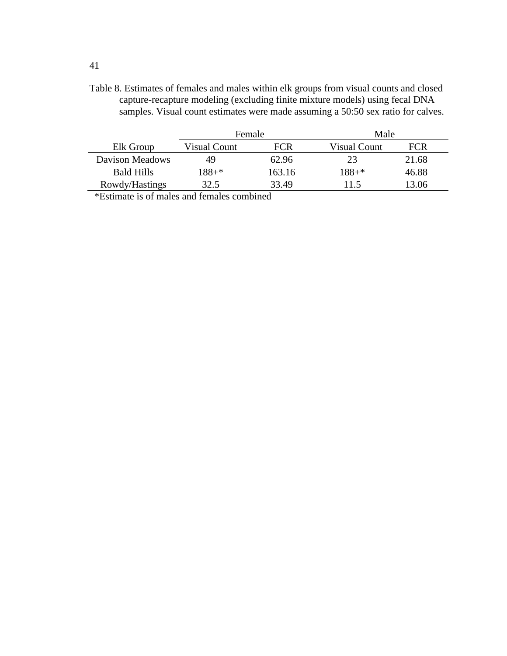Table 8. Estimates of females and males within elk groups from visual counts and closed capture-recapture modeling (excluding finite mixture models) using fecal DNA samples. Visual count estimates were made assuming a 50:50 sex ratio for calves.

|                   | Female              |        | Male                |       |  |
|-------------------|---------------------|--------|---------------------|-------|--|
| Elk Group         | <b>Visual Count</b> | FCR    | <b>Visual Count</b> | FCR   |  |
| Davison Meadows   | 49                  | 62.96  | 23                  | 21.68 |  |
| <b>Bald Hills</b> | $188 + *$           | 163.16 | $188 +$ *           | 46.88 |  |
| Rowdy/Hastings    | 32.5                | 33.49  | 11.5                | 13.06 |  |

\*Estimate is of males and females combined

41

j.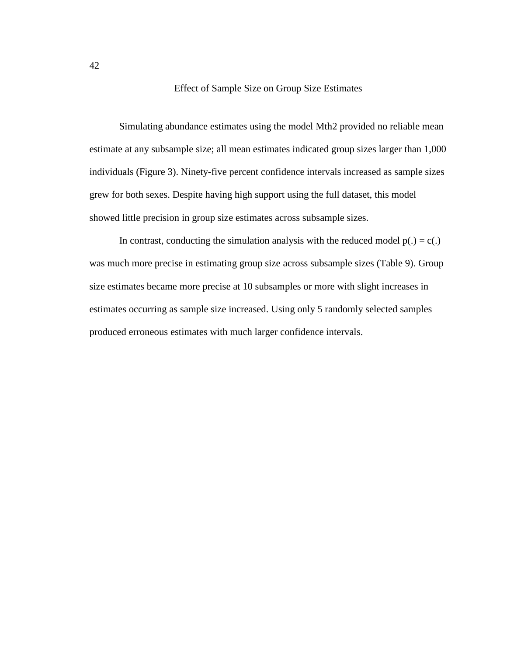Effect of Sample Size on Group Size Estimates

Simulating abundance estimates using the model Mth2 provided no reliable mean estimate at any subsample size; all mean estimates indicated group sizes larger than 1,000 individuals (Figure 3). Ninety-five percent confidence intervals increased as sample sizes grew for both sexes. Despite having high support using the full dataset, this model showed little precision in group size estimates across subsample sizes.

In contrast, conducting the simulation analysis with the reduced model  $p(.) = c(.)$ was much more precise in estimating group size across subsample sizes (Table 9). Group size estimates became more precise at 10 subsamples or more with slight increases in estimates occurring as sample size increased. Using only 5 randomly selected samples produced erroneous estimates with much larger confidence intervals.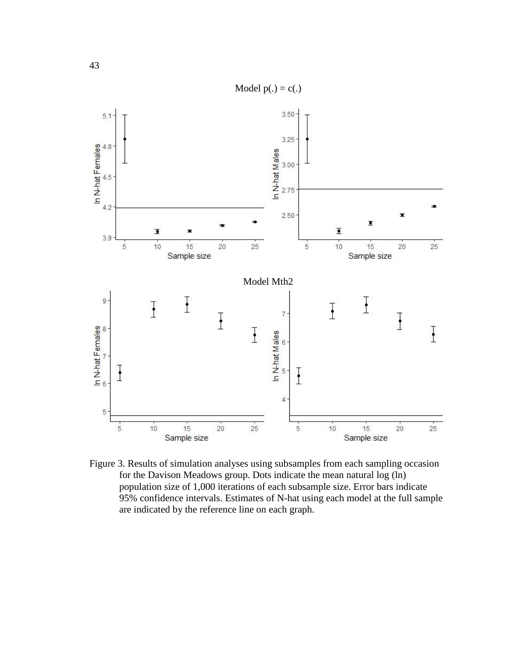

Figure 3. Results of simulation analyses using subsamples from each sampling occasion for the Davison Meadows group. Dots indicate the mean natural log (ln) population size of 1,000 iterations of each subsample size. Error bars indicate 95% confidence intervals. Estimates of N-hat using each model at the full sample are indicated by the reference line on each graph.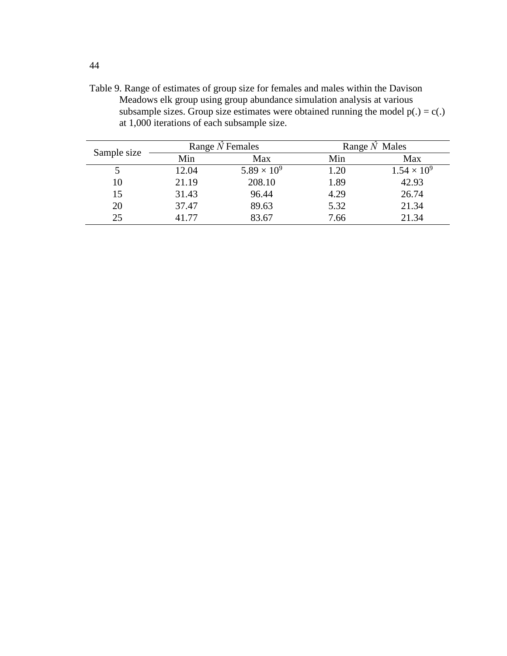Table 9. Range of estimates of group size for females and males within the Davison Meadows elk group using group abundance simulation analysis at various subsample sizes. Group size estimates were obtained running the model  $p(.) = c(.)$ at 1,000 iterations of each subsample size.

| Sample size |       | Range $N$ Females    | Range $\hat{N}$ Males |                      |  |  |
|-------------|-------|----------------------|-----------------------|----------------------|--|--|
|             | Min   | Max                  | Min                   | Max                  |  |  |
|             | 12.04 | $5.89 \times 10^{9}$ | 1.20                  | $1.54 \times 10^{9}$ |  |  |
| 10          | 21.19 | 208.10               | 1.89                  | 42.93                |  |  |
| 15          | 31.43 | 96.44                | 4.29                  | 26.74                |  |  |
| 20          | 37.47 | 89.63                | 5.32                  | 21.34                |  |  |
| 25          | 41.77 | 83.67                | 7.66                  | 21.34                |  |  |

44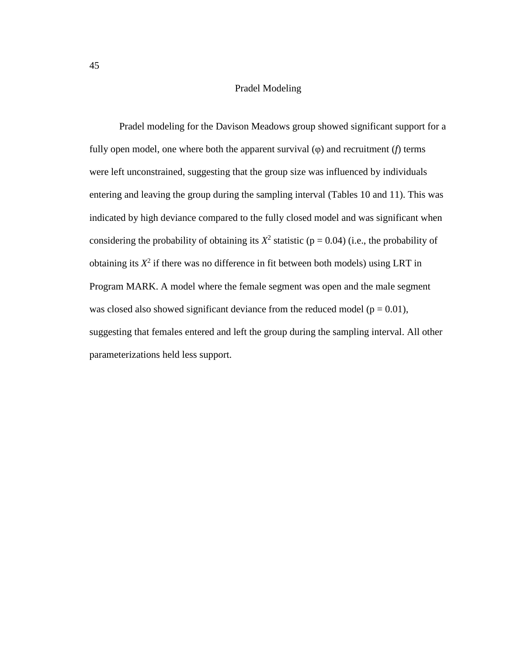## Pradel Modeling

Pradel modeling for the Davison Meadows group showed significant support for a fully open model, one where both the apparent survival (φ) and recruitment (*f*) terms were left unconstrained, suggesting that the group size was influenced by individuals entering and leaving the group during the sampling interval (Tables 10 and 11). This was indicated by high deviance compared to the fully closed model and was significant when considering the probability of obtaining its  $X^2$  statistic ( $p = 0.04$ ) (i.e., the probability of obtaining its  $X^2$  if there was no difference in fit between both models) using LRT in Program MARK. A model where the female segment was open and the male segment was closed also showed significant deviance from the reduced model ( $p = 0.01$ ), suggesting that females entered and left the group during the sampling interval. All other parameterizations held less support.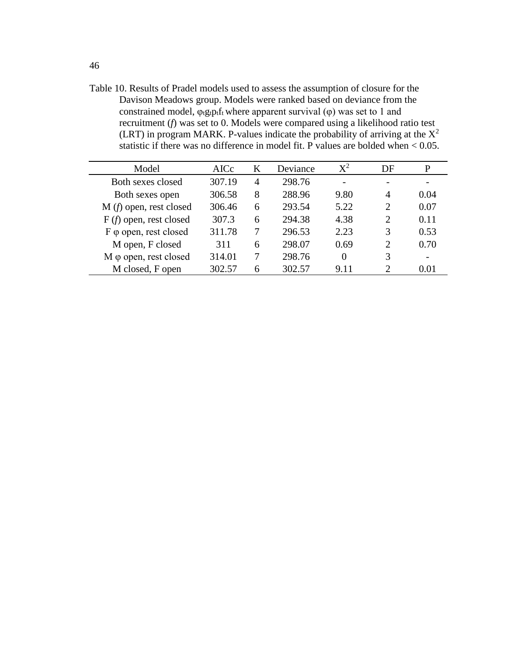Table 10. Results of Pradel models used to assess the assumption of closure for the Davison Meadows group. Models were ranked based on deviance from the constrained model,  $\varphi_t g_t p_t f_t$  where apparent survival ( $\varphi$ ) was set to 1 and recruitment (*f*) was set to 0. Models were compared using a likelihood ratio test (LRT) in program MARK. P-values indicate the probability of arriving at the  $X^2$ statistic if there was no difference in model fit. P values are bolded when < 0.05.

| Model                         | AICc   | K              | Deviance | $X^2$    | DF                          | P                        |
|-------------------------------|--------|----------------|----------|----------|-----------------------------|--------------------------|
| Both sexes closed             | 307.19 | $\overline{4}$ | 298.76   |          |                             |                          |
| Both sexes open               | 306.58 | 8              | 288.96   | 9.80     | $\overline{4}$              | 0.04                     |
| $M(f)$ open, rest closed      | 306.46 | 6              | 293.54   | 5.22     | 2                           | 0.07                     |
| $F(f)$ open, rest closed      | 307.3  | 6              | 294.38   | 4.38     | $\overline{2}$              | 0.11                     |
| F φ open, rest closed         | 311.78 | 7              | 296.53   | 2.23     | 3                           | 0.53                     |
| M open, F closed              | 311    | 6              | 298.07   | 0.69     | $\overline{2}$              | 0.70                     |
| $M \varphi$ open, rest closed | 314.01 |                | 298.76   | $\Omega$ | 3                           | $\overline{\phantom{0}}$ |
| M closed, F open              | 302.57 | 6              | 302.57   | 9.11     | $\mathcal{D}_{\mathcal{L}}$ | 0.01                     |
|                               |        |                |          |          |                             |                          |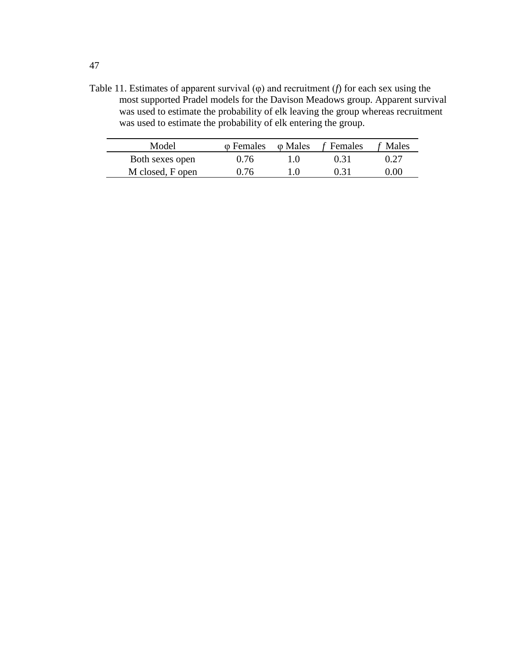Table 11. Estimates of apparent survival (φ) and recruitment (*f*) for each sex using the most supported Pradel models for the Davison Meadows group. Apparent survival was used to estimate the probability of elk leaving the group whereas recruitment was used to estimate the probability of elk entering the group.

| Model            |      | $\varphi$ Females $\varphi$ Males f Females | f Males |
|------------------|------|---------------------------------------------|---------|
| Both sexes open  | 0.76 | 0.31                                        | 0.27    |
| M closed, F open | 0.76 | 0.31                                        | 0.00    |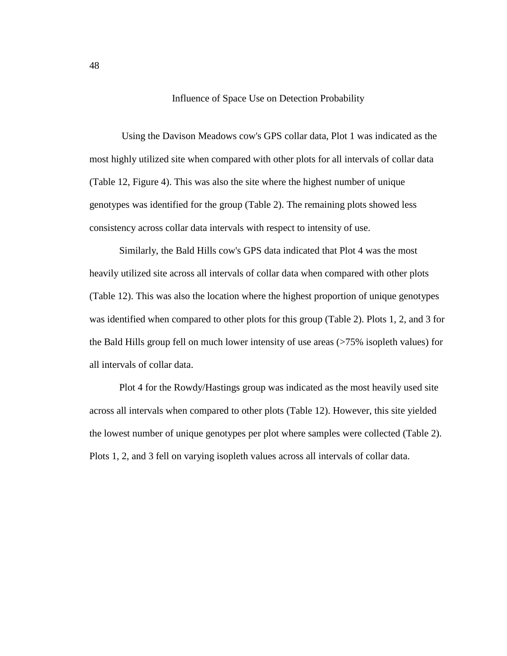Influence of Space Use on Detection Probability

Using the Davison Meadows cow's GPS collar data, Plot 1 was indicated as the most highly utilized site when compared with other plots for all intervals of collar data (Table 12, Figure 4). This was also the site where the highest number of unique genotypes was identified for the group (Table 2). The remaining plots showed less consistency across collar data intervals with respect to intensity of use.

Similarly, the Bald Hills cow's GPS data indicated that Plot 4 was the most heavily utilized site across all intervals of collar data when compared with other plots (Table 12). This was also the location where the highest proportion of unique genotypes was identified when compared to other plots for this group (Table 2). Plots 1, 2, and 3 for the Bald Hills group fell on much lower intensity of use areas (>75% isopleth values) for all intervals of collar data.

Plot 4 for the Rowdy/Hastings group was indicated as the most heavily used site across all intervals when compared to other plots (Table 12). However, this site yielded the lowest number of unique genotypes per plot where samples were collected (Table 2). Plots 1, 2, and 3 fell on varying isopleth values across all intervals of collar data.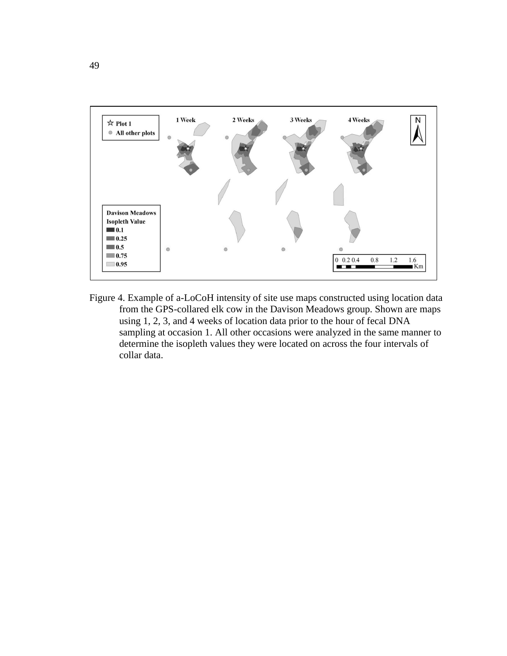

Figure 4. Example of a-LoCoH intensity of site use maps constructed using location data from the GPS-collared elk cow in the Davison Meadows group. Shown are maps using 1, 2, 3, and 4 weeks of location data prior to the hour of fecal DNA sampling at occasion 1. All other occasions were analyzed in the same manner to determine the isopleth values they were located on across the four intervals of collar data.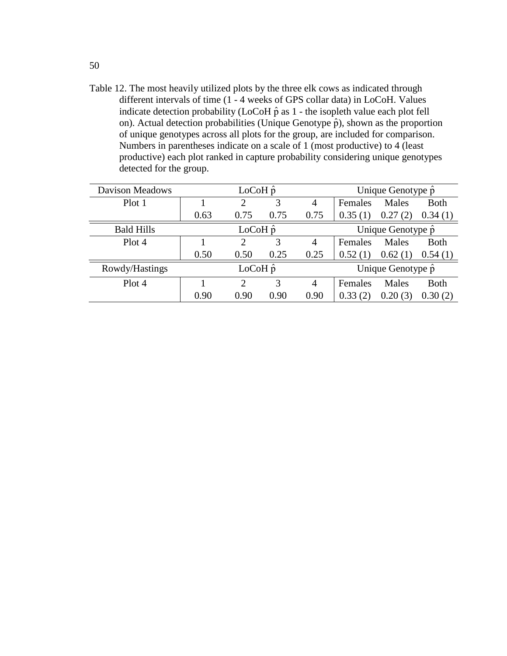Table 12. The most heavily utilized plots by the three elk cows as indicated through different intervals of time (1 - 4 weeks of GPS collar data) in LoCoH. Values indicate detection probability (LoCoH $\hat{p}$  as 1 - the isopleth value each plot fell on). Actual detection probabilities (Unique Genotype  $\hat{p}$ ), shown as the proportion of unique genotypes across all plots for the group, are included for comparison. Numbers in parentheses indicate on a scale of 1 (most productive) to 4 (least productive) each plot ranked in capture probability considering unique genotypes detected for the group.

| <b>Davison Meadows</b> | $LoCoH \hat{p}$ |      |      |      | Unique Genotype p         |             |             |
|------------------------|-----------------|------|------|------|---------------------------|-------------|-------------|
| Plot 1                 |                 |      | 3    | 4    | Females                   | Males       | <b>Both</b> |
|                        | 0.63            | 0.75 | 0.75 | 0.75 | 0.35                      | 0.27<br>(2) | 0.34(1)     |
| <b>Bald Hills</b>      | $LoCoH \hat{p}$ |      |      |      | Unique Genotype p         |             |             |
| Plot 4                 |                 | റ    | 3    | 4    | Females                   | Males       | <b>Both</b> |
|                        | 0.50            | 0.50 | 0.25 | 0.25 | 0.52                      | 0.62(1)     | 0.54(1)     |
| Rowdy/Hastings         | $LoCoH \hat{p}$ |      |      |      | Unique Genotype $\hat{p}$ |             |             |
| Plot 4                 |                 | ◠    | 3    | 4    | Females                   | Males       | <b>Both</b> |
|                        | 0.90            | 0.90 | 0.90 | 0.90 | 0.33                      | 0.20(3)     | 0.30(2)     |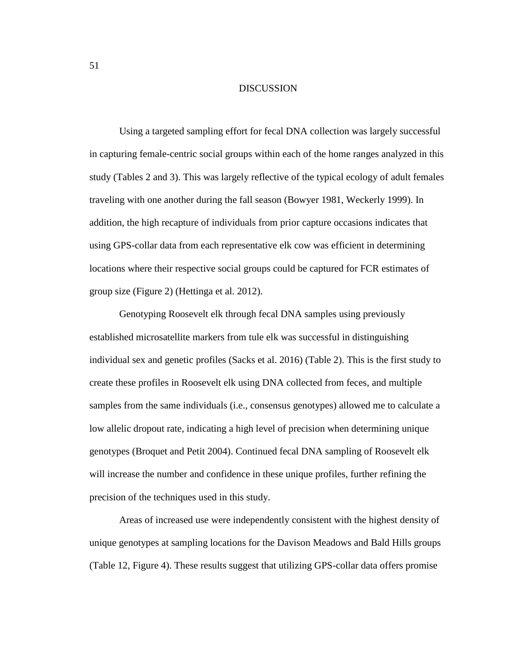## DISCUSSION

Using a targeted sampling effort for fecal DNA collection was largely successful in capturing female-centric social groups within each of the home ranges analyzed in this study (Tables 2 and 3). This was largely reflective of the typical ecology of adult females traveling with one another during the fall season (Bowyer 1981, Weckerly 1999). In addition, the high recapture of individuals from prior capture occasions indicates that using GPS-collar data from each representative elk cow was efficient in determining locations where their respective social groups could be captured for FCR estimates of group size (Figure 2) (Hettinga et al. 2012).

Genotyping Roosevelt elk through fecal DNA samples using previously established microsatellite markers from tule elk was successful in distinguishing individual sex and genetic profiles (Sacks et al. 2016) (Table 2). This is the first study to create these profiles in Roosevelt elk using DNA collected from feces, and multiple samples from the same individuals (i.e., consensus genotypes) allowed me to calculate a low allelic dropout rate, indicating a high level of precision when determining unique genotypes (Broquet and Petit 2004). Continued fecal DNA sampling of Roosevelt elk will increase the number and confidence in these unique profiles, further refining the precision of the techniques used in this study.

Areas of increased use were independently consistent with the highest density of unique genotypes at sampling locations for the Davison Meadows and Bald Hills groups (Table 12, Figure 4). These results suggest that utilizing GPS-collar data offers promise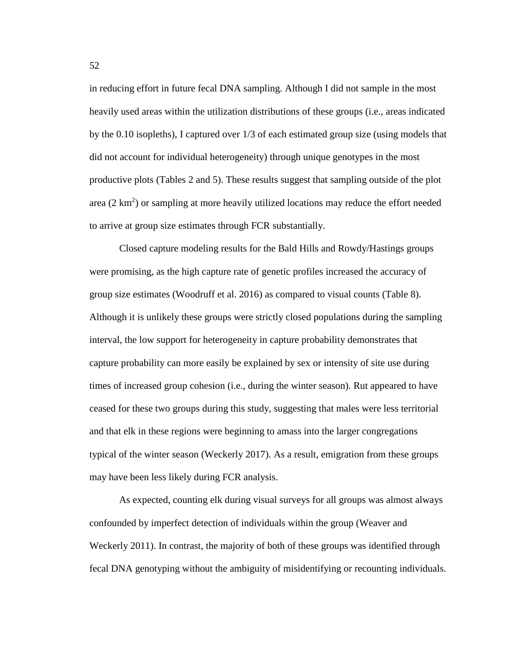in reducing effort in future fecal DNA sampling. Although I did not sample in the most heavily used areas within the utilization distributions of these groups (i.e., areas indicated by the 0.10 isopleths), I captured over 1/3 of each estimated group size (using models that did not account for individual heterogeneity) through unique genotypes in the most productive plots (Tables 2 and 5). These results suggest that sampling outside of the plot area  $(2 \text{ km}^2)$  or sampling at more heavily utilized locations may reduce the effort needed to arrive at group size estimates through FCR substantially.

Closed capture modeling results for the Bald Hills and Rowdy/Hastings groups were promising, as the high capture rate of genetic profiles increased the accuracy of group size estimates (Woodruff et al. 2016) as compared to visual counts (Table 8). Although it is unlikely these groups were strictly closed populations during the sampling interval, the low support for heterogeneity in capture probability demonstrates that capture probability can more easily be explained by sex or intensity of site use during times of increased group cohesion (i.e., during the winter season). Rut appeared to have ceased for these two groups during this study, suggesting that males were less territorial and that elk in these regions were beginning to amass into the larger congregations typical of the winter season (Weckerly 2017). As a result, emigration from these groups may have been less likely during FCR analysis.

As expected, counting elk during visual surveys for all groups was almost always confounded by imperfect detection of individuals within the group (Weaver and Weckerly 2011). In contrast, the majority of both of these groups was identified through fecal DNA genotyping without the ambiguity of misidentifying or recounting individuals.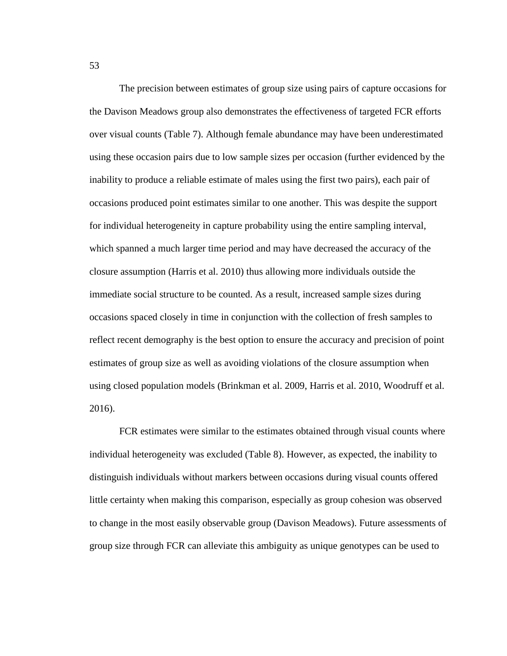The precision between estimates of group size using pairs of capture occasions for the Davison Meadows group also demonstrates the effectiveness of targeted FCR efforts over visual counts (Table 7). Although female abundance may have been underestimated using these occasion pairs due to low sample sizes per occasion (further evidenced by the inability to produce a reliable estimate of males using the first two pairs), each pair of occasions produced point estimates similar to one another. This was despite the support for individual heterogeneity in capture probability using the entire sampling interval, which spanned a much larger time period and may have decreased the accuracy of the closure assumption (Harris et al. 2010) thus allowing more individuals outside the immediate social structure to be counted. As a result, increased sample sizes during occasions spaced closely in time in conjunction with the collection of fresh samples to reflect recent demography is the best option to ensure the accuracy and precision of point estimates of group size as well as avoiding violations of the closure assumption when using closed population models (Brinkman et al. 2009, Harris et al. 2010, Woodruff et al. 2016).

FCR estimates were similar to the estimates obtained through visual counts where individual heterogeneity was excluded (Table 8). However, as expected, the inability to distinguish individuals without markers between occasions during visual counts offered little certainty when making this comparison, especially as group cohesion was observed to change in the most easily observable group (Davison Meadows). Future assessments of group size through FCR can alleviate this ambiguity as unique genotypes can be used to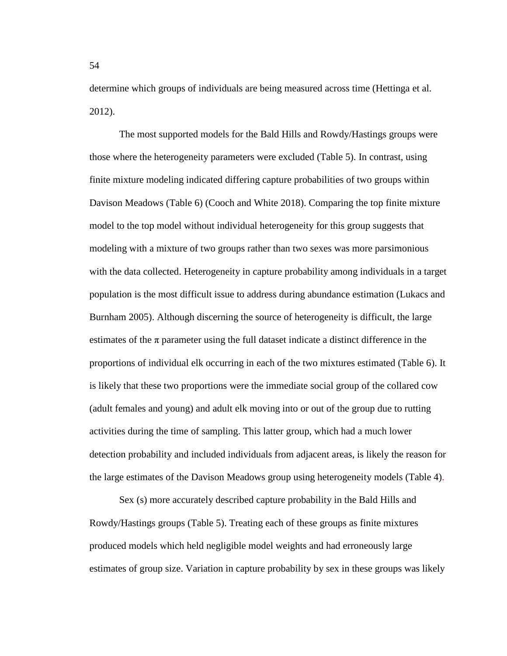determine which groups of individuals are being measured across time (Hettinga et al. 2012).

The most supported models for the Bald Hills and Rowdy/Hastings groups were those where the heterogeneity parameters were excluded (Table 5). In contrast, using finite mixture modeling indicated differing capture probabilities of two groups within Davison Meadows (Table 6) (Cooch and White 2018). Comparing the top finite mixture model to the top model without individual heterogeneity for this group suggests that modeling with a mixture of two groups rather than two sexes was more parsimonious with the data collected. Heterogeneity in capture probability among individuals in a target population is the most difficult issue to address during abundance estimation (Lukacs and Burnham 2005). Although discerning the source of heterogeneity is difficult, the large estimates of the  $\pi$  parameter using the full dataset indicate a distinct difference in the proportions of individual elk occurring in each of the two mixtures estimated (Table 6). It is likely that these two proportions were the immediate social group of the collared cow (adult females and young) and adult elk moving into or out of the group due to rutting activities during the time of sampling. This latter group, which had a much lower detection probability and included individuals from adjacent areas, is likely the reason for the large estimates of the Davison Meadows group using heterogeneity models (Table 4).

Sex (s) more accurately described capture probability in the Bald Hills and Rowdy/Hastings groups (Table 5). Treating each of these groups as finite mixtures produced models which held negligible model weights and had erroneously large estimates of group size. Variation in capture probability by sex in these groups was likely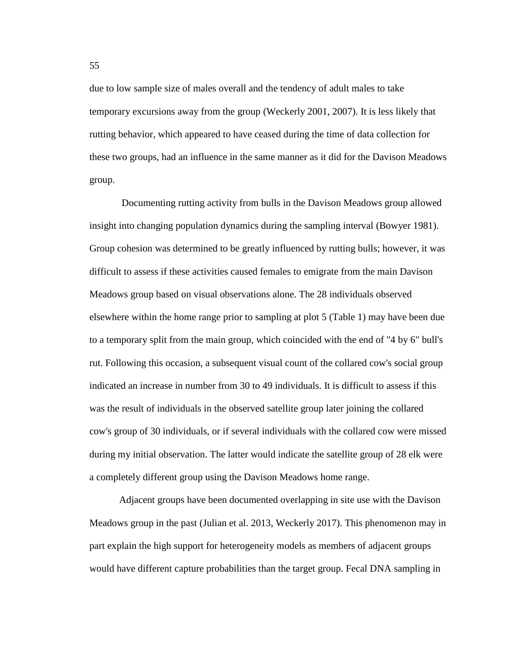due to low sample size of males overall and the tendency of adult males to take temporary excursions away from the group (Weckerly 2001, 2007). It is less likely that rutting behavior, which appeared to have ceased during the time of data collection for these two groups, had an influence in the same manner as it did for the Davison Meadows group.

Documenting rutting activity from bulls in the Davison Meadows group allowed insight into changing population dynamics during the sampling interval (Bowyer 1981). Group cohesion was determined to be greatly influenced by rutting bulls; however, it was difficult to assess if these activities caused females to emigrate from the main Davison Meadows group based on visual observations alone. The 28 individuals observed elsewhere within the home range prior to sampling at plot 5 (Table 1) may have been due to a temporary split from the main group, which coincided with the end of "4 by 6" bull's rut. Following this occasion, a subsequent visual count of the collared cow's social group indicated an increase in number from 30 to 49 individuals. It is difficult to assess if this was the result of individuals in the observed satellite group later joining the collared cow's group of 30 individuals, or if several individuals with the collared cow were missed during my initial observation. The latter would indicate the satellite group of 28 elk were a completely different group using the Davison Meadows home range.

Adjacent groups have been documented overlapping in site use with the Davison Meadows group in the past (Julian et al. 2013, Weckerly 2017). This phenomenon may in part explain the high support for heterogeneity models as members of adjacent groups would have different capture probabilities than the target group. Fecal DNA sampling in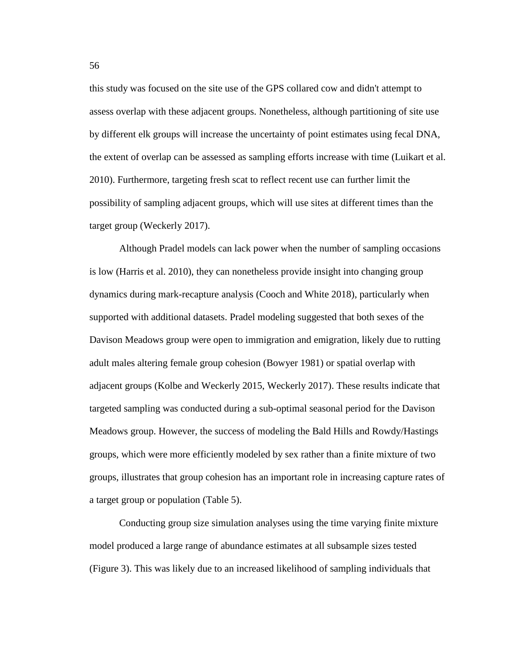this study was focused on the site use of the GPS collared cow and didn't attempt to assess overlap with these adjacent groups. Nonetheless, although partitioning of site use by different elk groups will increase the uncertainty of point estimates using fecal DNA, the extent of overlap can be assessed as sampling efforts increase with time (Luikart et al. 2010). Furthermore, targeting fresh scat to reflect recent use can further limit the possibility of sampling adjacent groups, which will use sites at different times than the target group (Weckerly 2017).

Although Pradel models can lack power when the number of sampling occasions is low (Harris et al. 2010), they can nonetheless provide insight into changing group dynamics during mark-recapture analysis (Cooch and White 2018), particularly when supported with additional datasets. Pradel modeling suggested that both sexes of the Davison Meadows group were open to immigration and emigration, likely due to rutting adult males altering female group cohesion (Bowyer 1981) or spatial overlap with adjacent groups (Kolbe and Weckerly 2015, Weckerly 2017). These results indicate that targeted sampling was conducted during a sub-optimal seasonal period for the Davison Meadows group. However, the success of modeling the Bald Hills and Rowdy/Hastings groups, which were more efficiently modeled by sex rather than a finite mixture of two groups, illustrates that group cohesion has an important role in increasing capture rates of a target group or population (Table 5).

Conducting group size simulation analyses using the time varying finite mixture model produced a large range of abundance estimates at all subsample sizes tested (Figure 3). This was likely due to an increased likelihood of sampling individuals that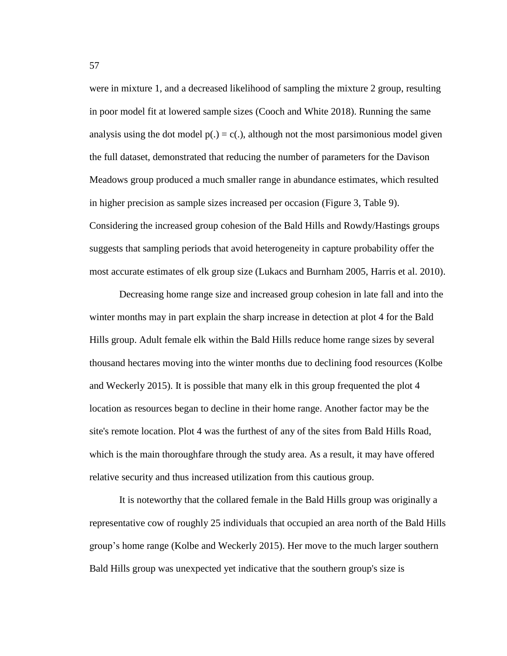were in mixture 1, and a decreased likelihood of sampling the mixture 2 group, resulting in poor model fit at lowered sample sizes (Cooch and White 2018). Running the same analysis using the dot model  $p(.) = c(.)$ , although not the most parsimonious model given the full dataset, demonstrated that reducing the number of parameters for the Davison Meadows group produced a much smaller range in abundance estimates, which resulted in higher precision as sample sizes increased per occasion (Figure 3, Table 9). Considering the increased group cohesion of the Bald Hills and Rowdy/Hastings groups suggests that sampling periods that avoid heterogeneity in capture probability offer the most accurate estimates of elk group size (Lukacs and Burnham 2005, Harris et al. 2010).

Decreasing home range size and increased group cohesion in late fall and into the winter months may in part explain the sharp increase in detection at plot 4 for the Bald Hills group. Adult female elk within the Bald Hills reduce home range sizes by several thousand hectares moving into the winter months due to declining food resources (Kolbe and Weckerly 2015). It is possible that many elk in this group frequented the plot 4 location as resources began to decline in their home range. Another factor may be the site's remote location. Plot 4 was the furthest of any of the sites from Bald Hills Road, which is the main thoroughfare through the study area. As a result, it may have offered relative security and thus increased utilization from this cautious group.

It is noteworthy that the collared female in the Bald Hills group was originally a representative cow of roughly 25 individuals that occupied an area north of the Bald Hills group's home range (Kolbe and Weckerly 2015). Her move to the much larger southern Bald Hills group was unexpected yet indicative that the southern group's size is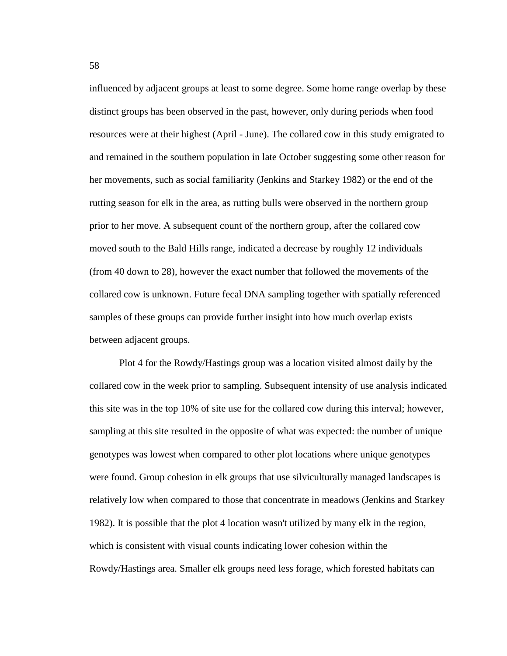influenced by adjacent groups at least to some degree. Some home range overlap by these distinct groups has been observed in the past, however, only during periods when food resources were at their highest (April - June). The collared cow in this study emigrated to and remained in the southern population in late October suggesting some other reason for her movements, such as social familiarity (Jenkins and Starkey 1982) or the end of the rutting season for elk in the area, as rutting bulls were observed in the northern group prior to her move. A subsequent count of the northern group, after the collared cow moved south to the Bald Hills range, indicated a decrease by roughly 12 individuals (from 40 down to 28), however the exact number that followed the movements of the collared cow is unknown. Future fecal DNA sampling together with spatially referenced samples of these groups can provide further insight into how much overlap exists between adjacent groups.

Plot 4 for the Rowdy/Hastings group was a location visited almost daily by the collared cow in the week prior to sampling. Subsequent intensity of use analysis indicated this site was in the top 10% of site use for the collared cow during this interval; however, sampling at this site resulted in the opposite of what was expected: the number of unique genotypes was lowest when compared to other plot locations where unique genotypes were found. Group cohesion in elk groups that use silviculturally managed landscapes is relatively low when compared to those that concentrate in meadows (Jenkins and Starkey 1982). It is possible that the plot 4 location wasn't utilized by many elk in the region, which is consistent with visual counts indicating lower cohesion within the Rowdy/Hastings area. Smaller elk groups need less forage, which forested habitats can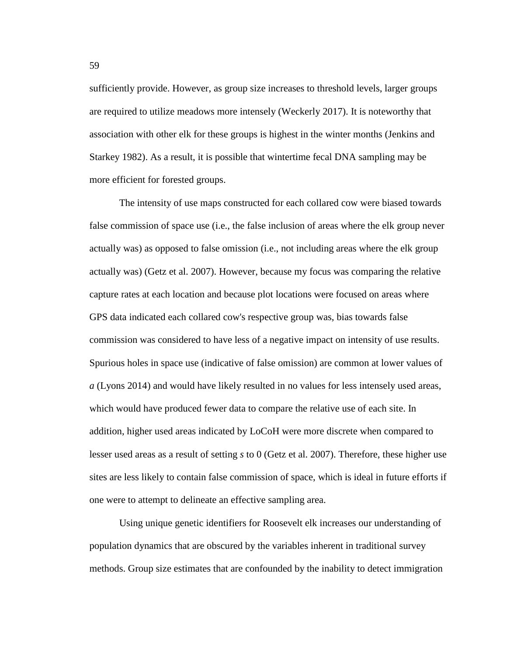sufficiently provide. However, as group size increases to threshold levels, larger groups are required to utilize meadows more intensely (Weckerly 2017). It is noteworthy that association with other elk for these groups is highest in the winter months (Jenkins and Starkey 1982). As a result, it is possible that wintertime fecal DNA sampling may be more efficient for forested groups.

The intensity of use maps constructed for each collared cow were biased towards false commission of space use (i.e., the false inclusion of areas where the elk group never actually was) as opposed to false omission (i.e., not including areas where the elk group actually was) (Getz et al. 2007). However, because my focus was comparing the relative capture rates at each location and because plot locations were focused on areas where GPS data indicated each collared cow's respective group was, bias towards false commission was considered to have less of a negative impact on intensity of use results. Spurious holes in space use (indicative of false omission) are common at lower values of *a* (Lyons 2014) and would have likely resulted in no values for less intensely used areas, which would have produced fewer data to compare the relative use of each site. In addition, higher used areas indicated by LoCoH were more discrete when compared to lesser used areas as a result of setting *s* to 0 (Getz et al. 2007). Therefore, these higher use sites are less likely to contain false commission of space, which is ideal in future efforts if one were to attempt to delineate an effective sampling area.

Using unique genetic identifiers for Roosevelt elk increases our understanding of population dynamics that are obscured by the variables inherent in traditional survey methods. Group size estimates that are confounded by the inability to detect immigration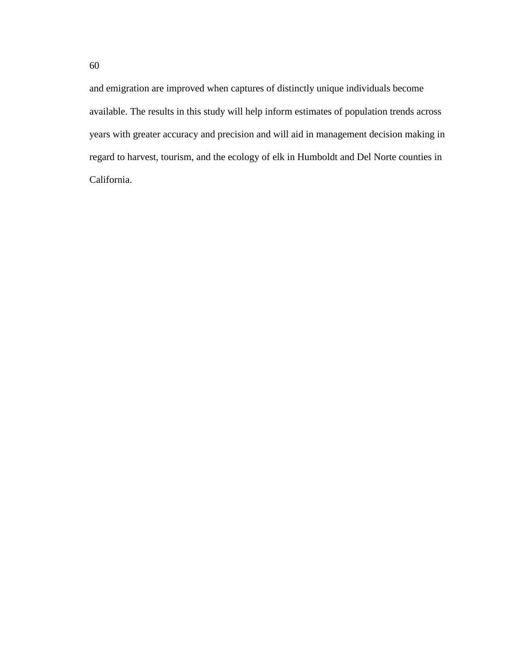and emigration are improved when captures of distinctly unique individuals become available. The results in this study will help inform estimates of population trends across years with greater accuracy and precision and will aid in management decision making in regard to harvest, tourism, and the ecology of elk in Humboldt and Del Norte counties in California.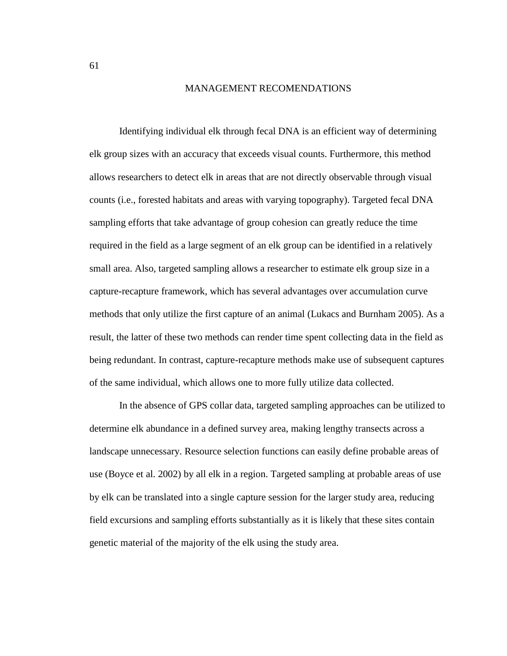## MANAGEMENT RECOMENDATIONS

Identifying individual elk through fecal DNA is an efficient way of determining elk group sizes with an accuracy that exceeds visual counts. Furthermore, this method allows researchers to detect elk in areas that are not directly observable through visual counts (i.e., forested habitats and areas with varying topography). Targeted fecal DNA sampling efforts that take advantage of group cohesion can greatly reduce the time required in the field as a large segment of an elk group can be identified in a relatively small area. Also, targeted sampling allows a researcher to estimate elk group size in a capture-recapture framework, which has several advantages over accumulation curve methods that only utilize the first capture of an animal (Lukacs and Burnham 2005). As a result, the latter of these two methods can render time spent collecting data in the field as being redundant. In contrast, capture-recapture methods make use of subsequent captures of the same individual, which allows one to more fully utilize data collected.

In the absence of GPS collar data, targeted sampling approaches can be utilized to determine elk abundance in a defined survey area, making lengthy transects across a landscape unnecessary. Resource selection functions can easily define probable areas of use (Boyce et al. 2002) by all elk in a region. Targeted sampling at probable areas of use by elk can be translated into a single capture session for the larger study area, reducing field excursions and sampling efforts substantially as it is likely that these sites contain genetic material of the majority of the elk using the study area.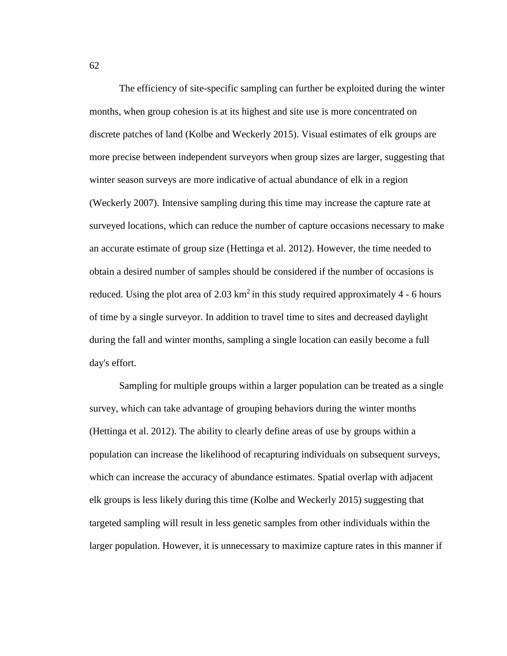The efficiency of site-specific sampling can further be exploited during the winter months, when group cohesion is at its highest and site use is more concentrated on discrete patches of land (Kolbe and Weckerly 2015). Visual estimates of elk groups are more precise between independent surveyors when group sizes are larger, suggesting that winter season surveys are more indicative of actual abundance of elk in a region (Weckerly 2007). Intensive sampling during this time may increase the capture rate at surveyed locations, which can reduce the number of capture occasions necessary to make an accurate estimate of group size (Hettinga et al. 2012). However, the time needed to obtain a desired number of samples should be considered if the number of occasions is reduced. Using the plot area of  $2.03 \text{ km}^2$  in this study required approximately 4 - 6 hours of time by a single surveyor. In addition to travel time to sites and decreased daylight during the fall and winter months, sampling a single location can easily become a full day's effort.

Sampling for multiple groups within a larger population can be treated as a single survey, which can take advantage of grouping behaviors during the winter months (Hettinga et al. 2012). The ability to clearly define areas of use by groups within a population can increase the likelihood of recapturing individuals on subsequent surveys, which can increase the accuracy of abundance estimates. Spatial overlap with adjacent elk groups is less likely during this time (Kolbe and Weckerly 2015) suggesting that targeted sampling will result in less genetic samples from other individuals within the larger population. However, it is unnecessary to maximize capture rates in this manner if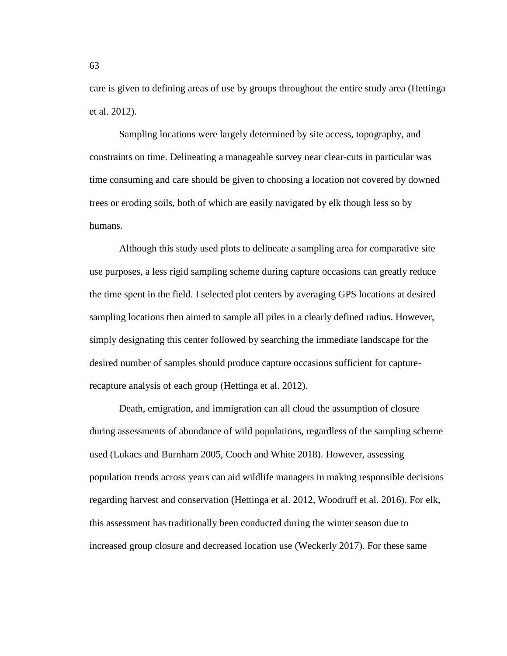care is given to defining areas of use by groups throughout the entire study area (Hettinga et al. 2012).

Sampling locations were largely determined by site access, topography, and constraints on time. Delineating a manageable survey near clear-cuts in particular was time consuming and care should be given to choosing a location not covered by downed trees or eroding soils, both of which are easily navigated by elk though less so by humans.

Although this study used plots to delineate a sampling area for comparative site use purposes, a less rigid sampling scheme during capture occasions can greatly reduce the time spent in the field. I selected plot centers by averaging GPS locations at desired sampling locations then aimed to sample all piles in a clearly defined radius. However, simply designating this center followed by searching the immediate landscape for the desired number of samples should produce capture occasions sufficient for capturerecapture analysis of each group (Hettinga et al. 2012).

Death, emigration, and immigration can all cloud the assumption of closure during assessments of abundance of wild populations, regardless of the sampling scheme used (Lukacs and Burnham 2005, Cooch and White 2018). However, assessing population trends across years can aid wildlife managers in making responsible decisions regarding harvest and conservation (Hettinga et al. 2012, Woodruff et al. 2016). For elk, this assessment has traditionally been conducted during the winter season due to increased group closure and decreased location use (Weckerly 2017). For these same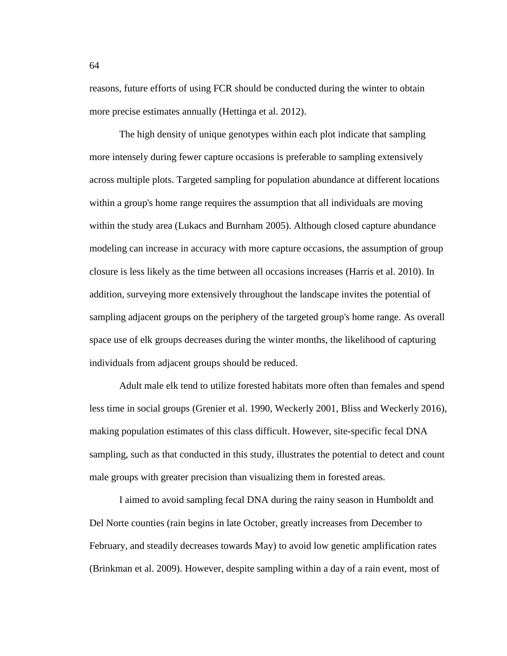reasons, future efforts of using FCR should be conducted during the winter to obtain more precise estimates annually (Hettinga et al. 2012).

The high density of unique genotypes within each plot indicate that sampling more intensely during fewer capture occasions is preferable to sampling extensively across multiple plots. Targeted sampling for population abundance at different locations within a group's home range requires the assumption that all individuals are moving within the study area (Lukacs and Burnham 2005). Although closed capture abundance modeling can increase in accuracy with more capture occasions, the assumption of group closure is less likely as the time between all occasions increases (Harris et al. 2010). In addition, surveying more extensively throughout the landscape invites the potential of sampling adjacent groups on the periphery of the targeted group's home range. As overall space use of elk groups decreases during the winter months, the likelihood of capturing individuals from adjacent groups should be reduced.

Adult male elk tend to utilize forested habitats more often than females and spend less time in social groups (Grenier et al. 1990, Weckerly 2001, Bliss and Weckerly 2016), making population estimates of this class difficult. However, site-specific fecal DNA sampling, such as that conducted in this study, illustrates the potential to detect and count male groups with greater precision than visualizing them in forested areas.

I aimed to avoid sampling fecal DNA during the rainy season in Humboldt and Del Norte counties (rain begins in late October, greatly increases from December to February, and steadily decreases towards May) to avoid low genetic amplification rates (Brinkman et al. 2009). However, despite sampling within a day of a rain event, most of

64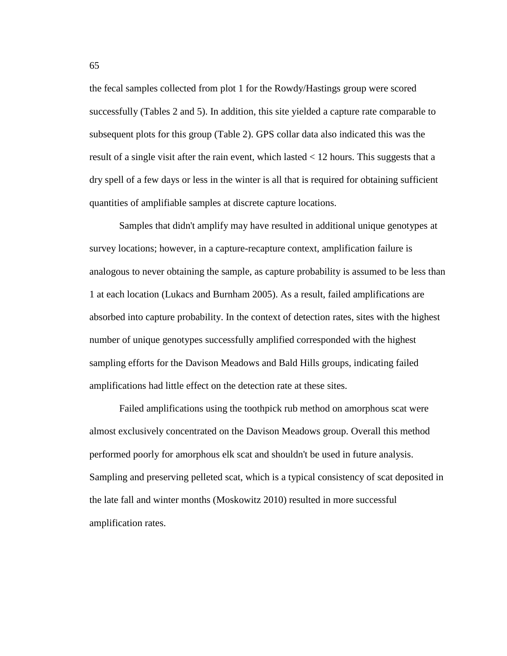the fecal samples collected from plot 1 for the Rowdy/Hastings group were scored successfully (Tables 2 and 5). In addition, this site yielded a capture rate comparable to subsequent plots for this group (Table 2). GPS collar data also indicated this was the result of a single visit after the rain event, which lasted < 12 hours. This suggests that a dry spell of a few days or less in the winter is all that is required for obtaining sufficient quantities of amplifiable samples at discrete capture locations.

Samples that didn't amplify may have resulted in additional unique genotypes at survey locations; however, in a capture-recapture context, amplification failure is analogous to never obtaining the sample, as capture probability is assumed to be less than 1 at each location (Lukacs and Burnham 2005). As a result, failed amplifications are absorbed into capture probability. In the context of detection rates, sites with the highest number of unique genotypes successfully amplified corresponded with the highest sampling efforts for the Davison Meadows and Bald Hills groups, indicating failed amplifications had little effect on the detection rate at these sites.

Failed amplifications using the toothpick rub method on amorphous scat were almost exclusively concentrated on the Davison Meadows group. Overall this method performed poorly for amorphous elk scat and shouldn't be used in future analysis. Sampling and preserving pelleted scat, which is a typical consistency of scat deposited in the late fall and winter months (Moskowitz 2010) resulted in more successful amplification rates.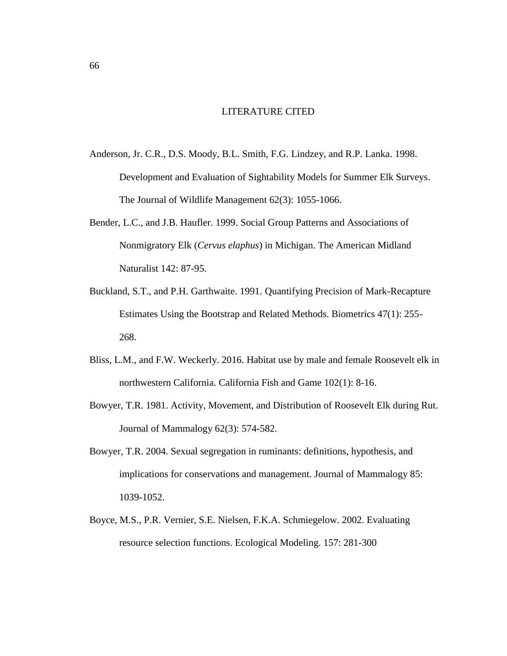## LITERATURE CITED

- Anderson, Jr. C.R., D.S. Moody, B.L. Smith, F.G. Lindzey, and R.P. Lanka. 1998. Development and Evaluation of Sightability Models for Summer Elk Surveys. The Journal of Wildlife Management 62(3): 1055-1066.
- Bender, L.C., and J.B. Haufler. 1999. Social Group Patterns and Associations of Nonmigratory Elk (*Cervus elaphus*) in Michigan. The American Midland Naturalist 142: 87-95.
- Buckland, S.T., and P.H. Garthwaite. 1991. Quantifying Precision of Mark-Recapture Estimates Using the Bootstrap and Related Methods. Biometrics 47(1): 255- 268.
- Bliss, L.M., and F.W. Weckerly. 2016. Habitat use by male and female Roosevelt elk in northwestern California. California Fish and Game 102(1): 8-16.
- Bowyer, T.R. 1981. Activity, Movement, and Distribution of Roosevelt Elk during Rut. Journal of Mammalogy 62(3): 574-582.
- Bowyer, T.R. 2004. Sexual segregation in ruminants: definitions, hypothesis, and implications for conservations and management. Journal of Mammalogy 85: 1039-1052.
- Boyce, M.S., P.R. Vernier, S.E. Nielsen, F.K.A. Schmiegelow. 2002. Evaluating resource selection functions. Ecological Modeling. 157: 281-300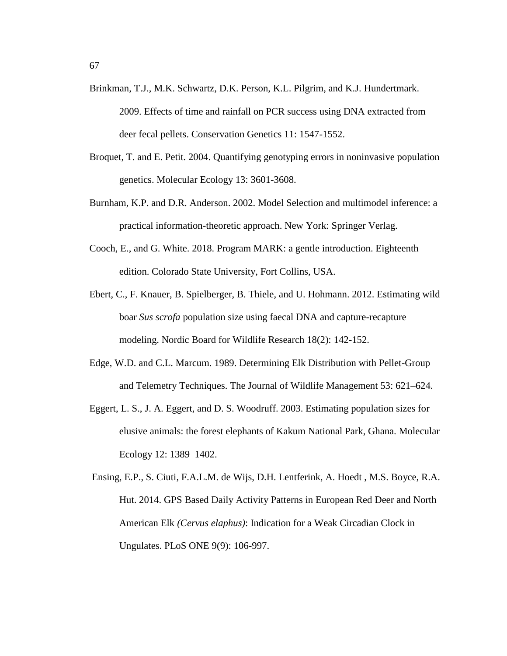- 67
- Brinkman, T.J., M.K. Schwartz, D.K. Person, K.L. Pilgrim, and K.J. Hundertmark. 2009. Effects of time and rainfall on PCR success using DNA extracted from deer fecal pellets. Conservation Genetics 11: 1547-1552.
- Broquet, T. and E. Petit. 2004. Quantifying genotyping errors in noninvasive population genetics. Molecular Ecology 13: 3601-3608.
- Burnham, K.P. and D.R. Anderson. 2002. Model Selection and multimodel inference: a practical information-theoretic approach. New York: Springer Verlag.
- Cooch, E., and G. White. 2018. Program MARK: a gentle introduction. Eighteenth edition. Colorado State University, Fort Collins, USA.
- Ebert, C., F. Knauer, B. Spielberger, B. Thiele, and U. Hohmann. 2012. Estimating wild boar *Sus scrofa* population size using faecal DNA and capture-recapture modeling. Nordic Board for Wildlife Research 18(2): 142-152.
- Edge, W.D. and C.L. Marcum. 1989. Determining Elk Distribution with Pellet-Group and Telemetry Techniques. The Journal of Wildlife Management 53: 621–624.
- Eggert, L. S., J. A. Eggert, and D. S. Woodruff. 2003. Estimating population sizes for elusive animals: the forest elephants of Kakum National Park, Ghana. Molecular Ecology 12: 1389–1402.

Ensing, E.P., S. Ciuti, F.A.L.M. de Wijs, D.H. Lentferink, A. Hoedt , M.S. Boyce, R.A. Hut. 2014. GPS Based Daily Activity Patterns in European Red Deer and North American Elk *(Cervus elaphus)*: Indication for a Weak Circadian Clock in Ungulates. PLoS ONE 9(9): 106-997.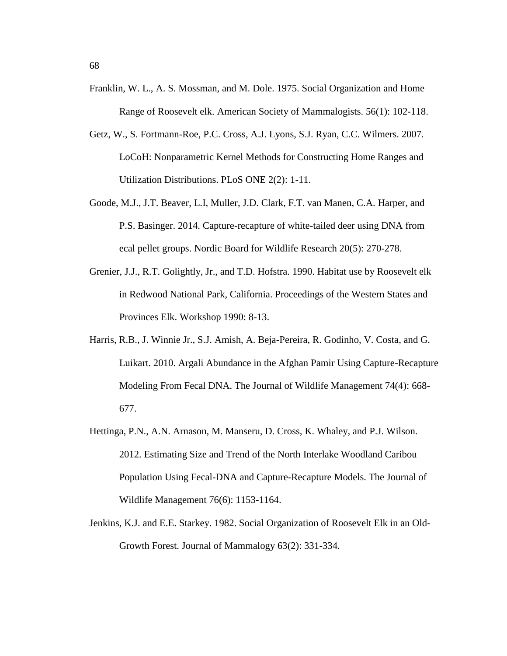- Franklin, W. L., A. S. Mossman, and M. Dole. 1975. Social Organization and Home Range of Roosevelt elk. American Society of Mammalogists. 56(1): 102-118.
- Getz, W., S. Fortmann-Roe, P.C. Cross, A.J. Lyons, S.J. Ryan, C.C. Wilmers. 2007. LoCoH: Nonparametric Kernel Methods for Constructing Home Ranges and Utilization Distributions. PLoS ONE 2(2): 1-11.
- Goode, M.J., J.T. Beaver, L.I, Muller, J.D. Clark, F.T. van Manen, C.A. Harper, and P.S. Basinger. 2014. Capture-recapture of white-tailed deer using DNA from ecal pellet groups. Nordic Board for Wildlife Research 20(5): 270-278.
- Grenier, J.J., R.T. Golightly, Jr., and T.D. Hofstra. 1990. Habitat use by Roosevelt elk in Redwood National Park, California. Proceedings of the Western States and Provinces Elk. Workshop 1990: 8-13.
- Harris, R.B., J. Winnie Jr., S.J. Amish, A. Beja-Pereira, R. Godinho, V. Costa, and G. Luikart. 2010. Argali Abundance in the Afghan Pamir Using Capture-Recapture Modeling From Fecal DNA. The Journal of Wildlife Management 74(4): 668- 677.
- Hettinga, P.N., A.N. Arnason, M. Manseru, D. Cross, K. Whaley, and P.J. Wilson. 2012. Estimating Size and Trend of the North Interlake Woodland Caribou Population Using Fecal-DNA and Capture-Recapture Models. The Journal of Wildlife Management 76(6): 1153-1164.
- Jenkins, K.J. and E.E. Starkey. 1982. Social Organization of Roosevelt Elk in an Old-Growth Forest. Journal of Mammalogy 63(2): 331-334.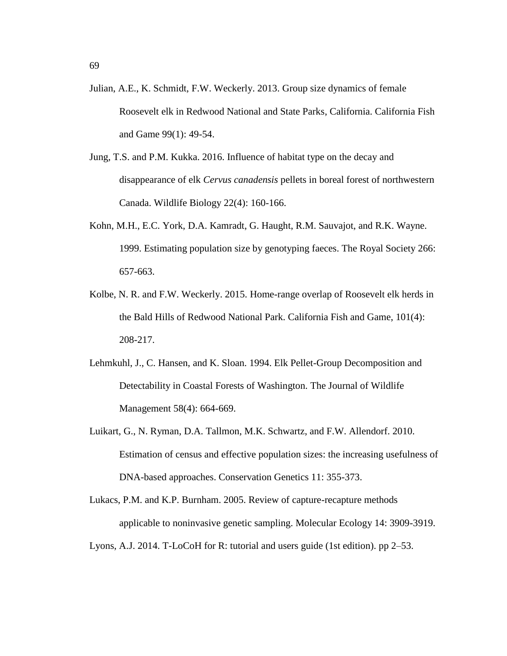- Julian, A.E., K. Schmidt, F.W. Weckerly. 2013. Group size dynamics of female Roosevelt elk in Redwood National and State Parks, California. California Fish and Game 99(1): 49-54.
- Jung, T.S. and P.M. Kukka. 2016. Influence of habitat type on the decay and disappearance of elk *Cervus canadensis* pellets in boreal forest of northwestern Canada. Wildlife Biology 22(4): 160-166.
- Kohn, M.H., E.C. York, D.A. Kamradt, G. Haught, R.M. Sauvajot, and R.K. Wayne. 1999. Estimating population size by genotyping faeces. The Royal Society 266: 657-663.
- Kolbe, N. R. and F.W. Weckerly. 2015. Home-range overlap of Roosevelt elk herds in the Bald Hills of Redwood National Park. California Fish and Game, 101(4): 208-217.
- Lehmkuhl, J., C. Hansen, and K. Sloan. 1994. Elk Pellet-Group Decomposition and Detectability in Coastal Forests of Washington. The Journal of Wildlife Management 58(4): 664-669.
- Luikart, G., N. Ryman, D.A. Tallmon, M.K. Schwartz, and F.W. Allendorf. 2010. Estimation of census and effective population sizes: the increasing usefulness of DNA-based approaches. Conservation Genetics 11: 355-373.
- Lukacs, P.M. and K.P. Burnham. 2005. Review of capture-recapture methods applicable to noninvasive genetic sampling. Molecular Ecology 14: 3909-3919.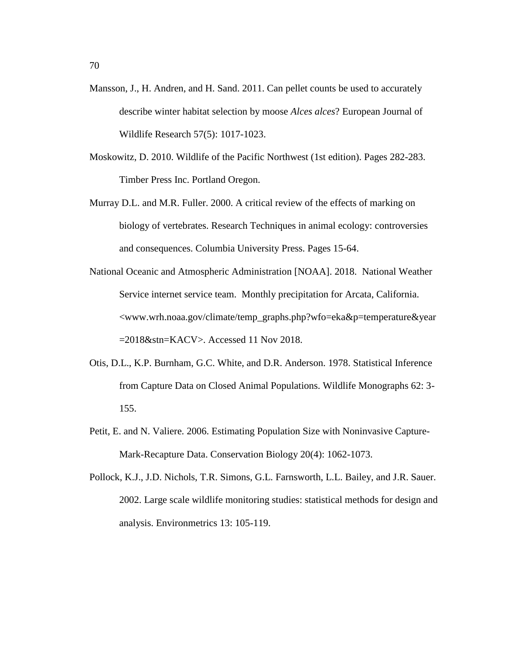- Mansson, J., H. Andren, and H. Sand. 2011. Can pellet counts be used to accurately describe winter habitat selection by moose *Alces alces*? European Journal of Wildlife Research 57(5): 1017-1023.
- Moskowitz, D. 2010. Wildlife of the Pacific Northwest (1st edition). Pages 282-283. Timber Press Inc. Portland Oregon.
- Murray D.L. and M.R. Fuller. 2000. A critical review of the effects of marking on biology of vertebrates. Research Techniques in animal ecology: controversies and consequences. Columbia University Press. Pages 15-64.
- National Oceanic and Atmospheric Administration [NOAA]. 2018. National Weather Service internet service team. Monthly precipitation for Arcata, California. <www.wrh.noaa.gov/climate/temp\_graphs.php?wfo=eka&p=temperature&year =2018&stn=KACV>. Accessed 11 Nov 2018.
- Otis, D.L., K.P. Burnham, G.C. White, and D.R. Anderson. 1978. Statistical Inference from Capture Data on Closed Animal Populations. Wildlife Monographs 62: 3- 155.
- Petit, E. and N. Valiere. 2006. Estimating Population Size with Noninvasive Capture-Mark-Recapture Data. Conservation Biology 20(4): 1062-1073.
- Pollock, K.J., J.D. Nichols, T.R. Simons, G.L. Farnsworth, L.L. Bailey, and J.R. Sauer. 2002. Large scale wildlife monitoring studies: statistical methods for design and analysis. Environmetrics 13: 105-119.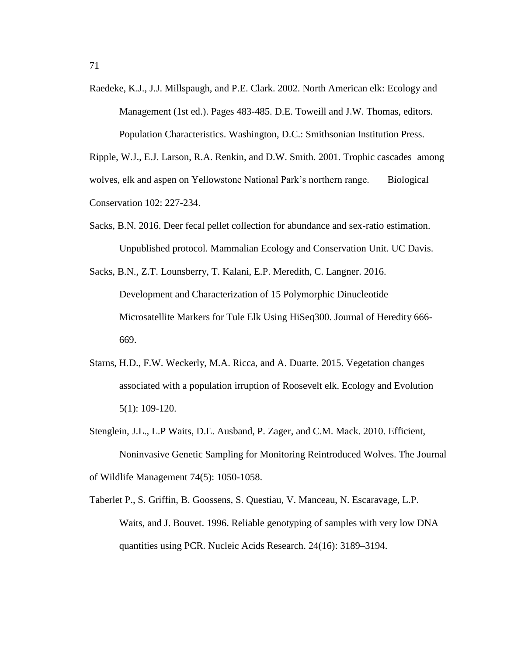Raedeke, K.J., J.J. Millspaugh, and P.E. Clark. 2002. North American elk: Ecology and Management (1st ed.). Pages 483-485. D.E. Toweill and J.W. Thomas, editors.

Population Characteristics. Washington, D.C.: Smithsonian Institution Press.

Ripple, W.J., E.J. Larson, R.A. Renkin, and D.W. Smith. 2001. Trophic cascades among wolves, elk and aspen on Yellowstone National Park's northern range. Biological Conservation 102: 227-234.

- Sacks, B.N. 2016. Deer fecal pellet collection for abundance and sex-ratio estimation. Unpublished protocol. Mammalian Ecology and Conservation Unit. UC Davis.
- Sacks, B.N., Z.T. Lounsberry, T. Kalani, E.P. Meredith, C. Langner. 2016. Development and Characterization of 15 Polymorphic Dinucleotide Microsatellite Markers for Tule Elk Using HiSeq300. Journal of Heredity 666- 669.
- Starns, H.D., F.W. Weckerly, M.A. Ricca, and A. Duarte. 2015. Vegetation changes associated with a population irruption of Roosevelt elk. Ecology and Evolution 5(1): 109-120.
- Stenglein, J.L., L.P Waits, D.E. Ausband, P. Zager, and C.M. Mack. 2010. Efficient, Noninvasive Genetic Sampling for Monitoring Reintroduced Wolves. The Journal of Wildlife Management 74(5): 1050-1058.
- Taberlet P., S. Griffin, B. Goossens, S. Questiau, V. Manceau, N. Escaravage, L.P. Waits, and J. Bouvet. 1996. Reliable genotyping of samples with very low DNA quantities using PCR. Nucleic Acids Research. 24(16): 3189–3194.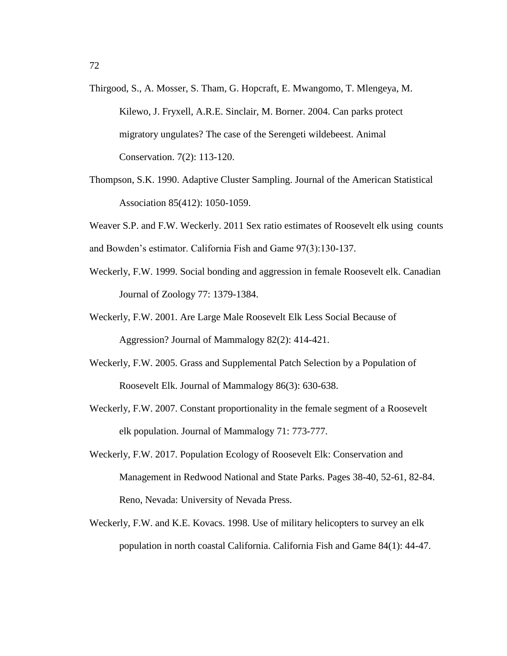- Thirgood, S., A. Mosser, S. Tham, G. Hopcraft, E. Mwangomo, T. Mlengeya, M. Kilewo, J. Fryxell, A.R.E. Sinclair, M. Borner. 2004. Can parks protect migratory ungulates? The case of the Serengeti wildebeest. Animal Conservation. 7(2): 113-120.
- Thompson, S.K. 1990. Adaptive Cluster Sampling. Journal of the American Statistical Association 85(412): 1050-1059.

Weaver S.P. and F.W. Weckerly. 2011 Sex ratio estimates of Roosevelt elk using counts and Bowden's estimator. California Fish and Game 97(3):130-137.

- Weckerly, F.W. 1999. Social bonding and aggression in female Roosevelt elk. Canadian Journal of Zoology 77: 1379-1384.
- Weckerly, F.W. 2001. Are Large Male Roosevelt Elk Less Social Because of Aggression? Journal of Mammalogy 82(2): 414-421.
- Weckerly, F.W. 2005. Grass and Supplemental Patch Selection by a Population of Roosevelt Elk. Journal of Mammalogy 86(3): 630-638.
- Weckerly, F.W. 2007. Constant proportionality in the female segment of a Roosevelt elk population. Journal of Mammalogy 71: 773-777.
- Weckerly, F.W. 2017. Population Ecology of Roosevelt Elk: Conservation and Management in Redwood National and State Parks. Pages 38-40, 52-61, 82-84. Reno, Nevada: University of Nevada Press.
- Weckerly, F.W. and K.E. Kovacs. 1998. Use of military helicopters to survey an elk population in north coastal California. California Fish and Game 84(1): 44-47.